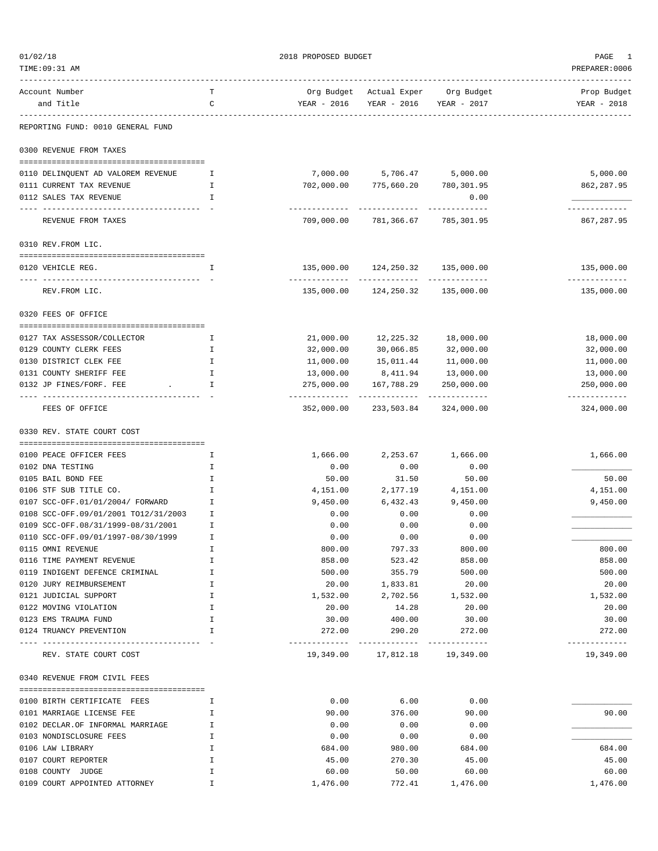| 01/02/18                                          |         | 2018 PROPOSED BUDGET       | PAGE<br>-1                         |                            |                             |
|---------------------------------------------------|---------|----------------------------|------------------------------------|----------------------------|-----------------------------|
| TIME: 09:31 AM                                    |         |                            |                                    |                            | PREPARER: 0006              |
| Account Number                                    | т       |                            | Org Budget Actual Exper Org Budget |                            | Prop Budget                 |
| and Title                                         | C       | YEAR - 2016                | YEAR - 2016 YEAR - 2017            |                            | YEAR - 2018                 |
| REPORTING FUND: 0010 GENERAL FUND                 |         |                            |                                    |                            |                             |
| 0300 REVENUE FROM TAXES                           |         |                            |                                    |                            |                             |
| 0110 DELINQUENT AD VALOREM REVENUE                | Ι.      |                            | 7,000.00 5,706.47 5,000.00         |                            | 5,000.00                    |
| 0111 CURRENT TAX REVENUE                          | I.      | 702,000.00                 | 775,660.20                         | 780,301.95                 | 862,287.95                  |
| 0112 SALES TAX REVENUE                            | I       |                            |                                    | 0.00                       |                             |
| REVENUE FROM TAXES                                |         |                            | 709,000.00 781,366.67 785,301.95   |                            | 867,287.95                  |
| 0310 REV.FROM LIC.                                |         |                            |                                    |                            |                             |
|                                                   |         |                            |                                    |                            |                             |
| 0120 VEHICLE REG.                                 | I.      |                            | 135,000.00 124,250.32 135,000.00   |                            | 135,000.00<br>------------- |
| REV. FROM LIC.                                    |         | 135,000.00                 | 124,250.32                         | 135,000.00                 | 135,000.00                  |
| 0320 FEES OF OFFICE                               |         |                            |                                    |                            |                             |
| 0127 TAX ASSESSOR/COLLECTOR                       | I.      | 21,000.00                  | 12,225.32                          | 18,000.00                  | 18,000.00                   |
| 0129 COUNTY CLERK FEES                            | I.      | 32,000.00                  | 30,066.85                          | 32,000.00                  | 32,000.00                   |
| 0130 DISTRICT CLEK FEE                            | I.      | 11,000.00                  | 15,011.44                          | 11,000.00                  | 11,000.00                   |
| 0131 COUNTY SHERIFF FEE                           | I       | 13,000.00                  | 8,411.94                           | 13,000.00                  | 13,000.00                   |
| 0132 JP FINES/FORF. FEE                           | I.      | 275,000.00                 | 167,788.29                         | 250,000.00                 | 250,000.00                  |
| -------------------------------<br>FEES OF OFFICE |         | -----------<br>352,000.00  | -------------<br>233,503.84        | ------------<br>324,000.00 | -----------<br>324,000.00   |
| 0330 REV. STATE COURT COST                        |         |                            |                                    |                            |                             |
|                                                   |         |                            |                                    |                            |                             |
| 0100 PEACE OFFICER FEES<br>0102 DNA TESTING       | Ι.<br>I | 1,666.00                   | 2,253.67<br>0.00                   | 1,666.00<br>0.00           | 1,666.00                    |
| 0105 BAIL BOND FEE                                | I       | 0.00<br>50.00              | 31.50                              | 50.00                      | 50.00                       |
| 0106 STF SUB TITLE CO.                            | I.      | 4,151.00                   | 2,177.19                           | 4,151.00                   | 4,151.00                    |
| 0107 SCC-OFF.01/01/2004/ FORWARD                  | I       | 9,450.00                   | 6,432.43                           | 9,450.00                   | 9,450.00                    |
| 0108 SCC-OFF.09/01/2001 TO12/31/2003              | I.      | 0.00                       | 0.00                               | 0.00                       |                             |
| 0109 SCC-OFF.08/31/1999-08/31/2001                | Ι       | 0.00                       | 0.00                               | 0.00                       |                             |
| 0110 SCC-OFF.09/01/1997-08/30/1999                | I       | 0.00                       | 0.00                               | 0.00                       |                             |
| 0115 OMNI REVENUE                                 | I       | 800.00                     | 797.33                             | 800.00                     | 800.00                      |
| 0116 TIME PAYMENT REVENUE                         | Ι       | 858.00                     | 523.42                             | 858.00                     | 858.00                      |
| 0119 INDIGENT DEFENCE CRIMINAL                    | Ι       | 500.00                     | 355.79                             | 500.00                     | 500.00                      |
| 0120 JURY REIMBURSEMENT                           | I       | 20.00                      | 1,833.81                           | 20.00                      | 20.00                       |
| 0121 JUDICIAL SUPPORT                             | I       | 1,532.00                   | 2,702.56                           | 1,532.00                   | 1,532.00                    |
| 0122 MOVING VIOLATION                             | I       | 20.00                      | 14.28                              | 20.00                      | 20.00                       |
| 0123 EMS TRAUMA FUND                              | I       | 30.00                      | 400.00                             | 30.00                      | 30.00                       |
| 0124 TRUANCY PREVENTION                           | I       | 272.00                     | 290.20                             | 272.00                     | 272.00                      |
| -------------<br>REV. STATE COURT COST            |         | -------------<br>19,349.00 | ----------<br>17,812.18            | -----------<br>19,349.00   | -------------<br>19,349.00  |
| 0340 REVENUE FROM CIVIL FEES                      |         |                            |                                    |                            |                             |
|                                                   |         |                            |                                    |                            |                             |
| 0100 BIRTH CERTIFICATE FEES                       | I.      | 0.00                       | 6.00                               | 0.00                       |                             |
| 0101 MARRIAGE LICENSE FEE                         | I       | 90.00                      | 376.00                             | 90.00                      | 90.00                       |
| 0102 DECLAR.OF INFORMAL MARRIAGE                  | I       | 0.00                       | 0.00                               | 0.00                       |                             |
| 0103 NONDISCLOSURE FEES                           | I       | 0.00                       | 0.00                               | 0.00                       |                             |
| 0106 LAW LIBRARY                                  | Ι       | 684.00                     | 980.00                             | 684.00                     | 684.00                      |
| 0107 COURT REPORTER                               | I       | 45.00                      | 270.30                             | 45.00                      | 45.00                       |
| 0108 COUNTY JUDGE                                 | I       | 60.00                      | 50.00                              | 60.00                      | 60.00                       |
| 0109 COURT APPOINTED ATTORNEY                     | I       | 1,476.00                   | 772.41                             | 1,476.00                   | 1,476.00                    |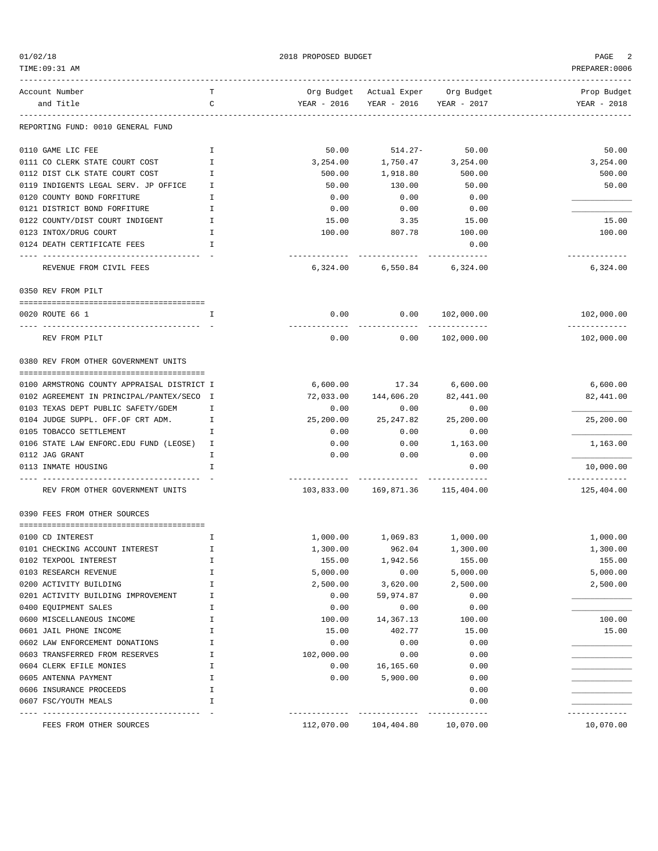01/02/18 2018 PROPOSED BUDGET PAGE 2

TIME:09:31 AM PREPARER:0006 ------------------------------------------------------------------------------------------------------------------------------------ Account Number T Org Budget Actual Exper Org Budget Prop Budget and Title C YEAR - 2016 YEAR - 2016 YEAR - 2017 YEAR - 2018 ------------------------------------------------------------------------------------------------------------------------------------ REPORTING FUND: 0010 GENERAL FUND 0110 GAME LIC FEE I 50.00 514.27- 50.00 50.00 0111 CO CLERK STATE COURT COST THE STATE OF THE STATE OF THE STATE STATE OF THE STATE STATE OF THE STATE STATE STATE STATE STATE STATE STATE STATE STATE STATE STATE STATE STATE STATE STATE STATE STATE STATE STATE STATE STA 0112 DIST CLK STATE COURT COST THE SERVICE OF THE SERVICE OF THE SOC.00 S00.00 S00.00 S00.00 S00.00 0119 INDIGENTS LEGAL SERV. JP OFFICE 1 50.00 50.00 50.00 50.00 50.00 50.00 50.00 0120 COUNTY BOND FORFITURE  $I$  1 0.00 0.00 0.00 0.00 0.00 0121 DISTRICT BOND FORFITURE I 0.00 0.00 0.00 \_\_\_\_\_\_\_\_\_\_\_\_\_ 0122 COUNTY/DIST COURT INDIGENT 1 15.00 15.00 3.35 15.00 15.00 15.00 0123 INTOX/DRUG COURT I 100.00 807.78 100.00 100.00 0124 DEATH CERTIFICATE FEES **I** ---- ---------------------------------- - ------------- ------------- ------------- ------------- REVENUE FROM CIVIL FEES 6,324.00 6,550.84 6,324.00 6,324.00 0350 REV FROM PILT ======================================== 0020 ROUTE 66 1 I 0.00 0.00 102,000.00 102,000.00 ---- ---------------------------------- - ------------- ------------- ------------- ------------- REV FROM PILT 0.00 0.00 102,000.00 102,000.00 0380 REV FROM OTHER GOVERNMENT UNITS ======================================== 0100 ARMSTRONG COUNTY APPRAISAL DISTRICT I 6,600.00 17.34 6,600.00 6,600.00 0102 AGREEMENT IN PRINCIPAL/PANTEX/SECO I 72,033.00 144,606.20 82,441.00 82,490 82,441.00 0103 TEXAS DEPT PUBLIC SAFETY/GDEM I 0.00 0.00 0.00 0.00 0.00 0104 JUDGE SUPPL. OFF.OF CRT ADM. I 25,200.00 25,247.82 25,200.00 25,200.00 0105 TOBACCO SETTLEMENT  $I$  1 0.00 0.00 0.00 0.00 0106 STATE LAW ENFORC.EDU FUND (LEOSE) I 0.00 0.00 1,163.00 1,163.00 0112 JAG GRANT I 0.00 0.00 0.00 \_\_\_\_\_\_\_\_\_\_\_\_\_ 0113 INMATE HOUSING 10,000.00 1 CONTROL I CONTROL IS A GAUSSING DESCRIPTION OF LOCAL CONTROL OF LOCAL CONTROL O ---- ---------------------------------- - ------------- ------------- ------------- ------------- REV FROM OTHER GOVERNMENT UNITS  $103,833.00$   $169,871.36$   $115,404.00$   $125,404.00$ 0390 FEES FROM OTHER SOURCES ======================================== 0100 CD INTEREST THE TURES I 1,000.00 1,000.00 1,000.00 1,000.00 1,000.00 1,000.00 0101 CHECKING ACCOUNT INTEREST I 1,300.00 962.04 1,300.00 1,300.00 0102 TEXPOOL INTEREST 155.00 1 1,942.56 155.00 1,942.56 155.00 155.00 0103 RESEARCH REVENUE I 5,000.00 0.00 5,000.00 5,000.00 0200 ACTIVITY BUILDING I 2,500.00 3,620.00 2,500.00 2,500.00 0201 ACTIVITY BUILDING IMPROVEMENT  $1$  0.00  $59,974.87$  0.00 0400 EQUIPMENT SALES I 0.00 0.00 0.00 \_\_\_\_\_\_\_\_\_\_\_\_\_ 0600 MISCELLANEOUS INCOME I 100.00 14,367.13 100.00 100.00 0601 JAIL PHONE INCOME **I** 15.00 402.77 15.00 0602 LAW ENFORCEMENT DONATIONS I 0.00 0.00 0.00 \_\_\_\_\_\_\_\_\_\_\_\_\_ 0603 TRANSFERRED FROM RESERVES T 0604 CLERK EFILE MONIES 1 1 0.00 16,165.60 0.00 0.00 0605 ANTENNA PAYMENT 1 1 1 1 1 1 0.00 5,900.00 0.00 0.00 0.00 0606 INSURANCE PROCEEDS THE RESERVE OF LOCAL LOCAL CONSUMING THE RESERVE OF LOCAL CONSUMING THE RESERVE OF LOCAL CONSUMING THE RESERVE OF LOCAL CONSUMING THE RESERVE OF LOCAL CONSUMING THE RESERVE OF LOCAL CONSUMING THE RE 0607 FSC/YOUTH MEALS  $I$ ---- ---------------------------------- - ------------- ------------- ------------- ------------- FEES FROM OTHER SOURCES 112,070.00 104,404.80 10,070.00 10,070.00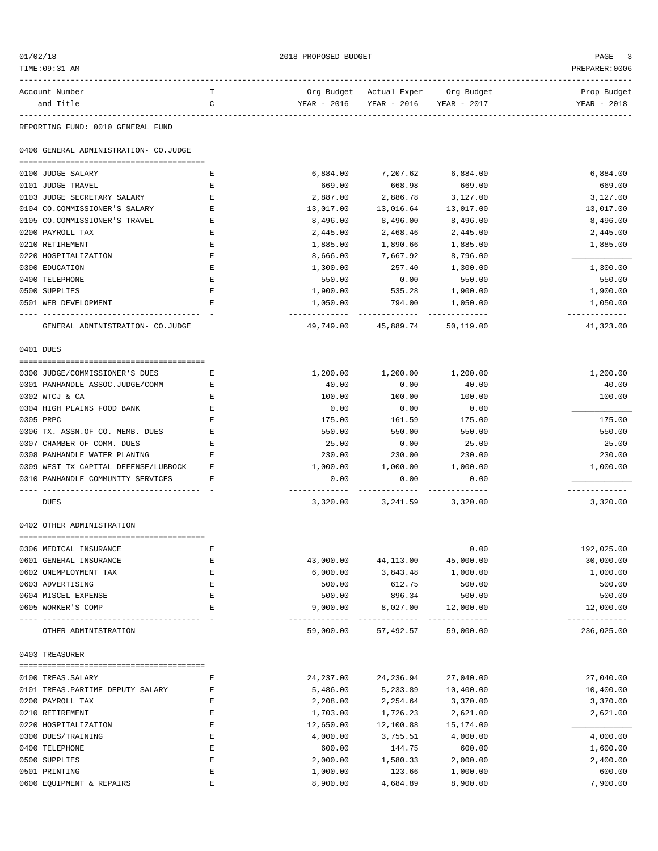| 01/02/18<br>TIME: 09:31 AM                      |        | 2018 PROPOSED BUDGET  |                                                   |                            | PAGE<br>PREPARER: 0006      |
|-------------------------------------------------|--------|-----------------------|---------------------------------------------------|----------------------------|-----------------------------|
| Account Number<br>and Title                     | т<br>C | YEAR - 2016           | Org Budget Actual Exper Org Budget<br>YEAR - 2016 | YEAR - 2017                | Prop Budget<br>YEAR - 2018  |
|                                                 |        |                       |                                                   |                            |                             |
| REPORTING FUND: 0010 GENERAL FUND               |        |                       |                                                   |                            |                             |
| 0400 GENERAL ADMINISTRATION- CO.JUDGE           |        |                       |                                                   |                            |                             |
| 0100 JUDGE SALARY                               | Е      | 6,884.00              | 7,207.62                                          | 6,884.00                   | 6,884.00                    |
| 0101 JUDGE TRAVEL                               | Е      | 669.00                | 668.98                                            | 669.00                     | 669.00                      |
| 0103 JUDGE SECRETARY SALARY                     | Ε      | 2,887.00              | 2,886.78                                          | 3,127.00                   | 3,127.00                    |
| 0104 CO.COMMISSIONER'S SALARY                   | Е      | 13,017.00             | 13,016.64                                         | 13,017.00                  | 13,017.00                   |
| 0105 CO.COMMISSIONER'S TRAVEL                   | Ε      | 8,496.00              | 8,496.00                                          | 8,496.00                   | 8,496.00                    |
| 0200 PAYROLL TAX                                | Ε      | 2,445.00              | 2,468.46                                          | 2,445.00                   | 2,445.00                    |
| 0210 RETIREMENT                                 | Е      | 1,885.00              | 1,890.66                                          | 1,885.00                   | 1,885.00                    |
| 0220 HOSPITALIZATION                            | Е      | 8,666.00              | 7,667.92                                          | 8,796.00                   |                             |
| 0300 EDUCATION                                  | Е      | 1,300.00              | 257.40                                            | 1,300.00                   | 1,300.00                    |
| 0400 TELEPHONE                                  | Ε      | 550.00                | 0.00                                              | 550.00                     | 550.00                      |
| 0500 SUPPLIES<br>0501 WEB DEVELOPMENT           | Ε<br>Е | 1,900.00<br>1,050.00  | 535.28<br>794.00                                  | 1,900.00<br>1,050.00       | 1,900.00<br>1,050.00        |
|                                                 |        | .                     |                                                   | ------------               | -------------               |
| GENERAL ADMINISTRATION- CO.JUDGE                |        | 49,749.00             | 45,889.74                                         | 50,119.00                  | 41,323.00                   |
| 0401 DUES                                       |        |                       |                                                   |                            |                             |
| 0300 JUDGE/COMMISSIONER'S DUES                  | Е      | 1,200.00              | 1,200.00                                          | 1,200.00                   | 1,200.00                    |
| 0301 PANHANDLE ASSOC.JUDGE/COMM                 | Е      | 40.00                 | 0.00                                              | 40.00                      | 40.00                       |
| 0302 WTCJ & CA                                  | Е      | 100.00                | 100.00                                            | 100.00                     | 100.00                      |
| 0304 HIGH PLAINS FOOD BANK                      | Ε      | 0.00                  | 0.00                                              | 0.00                       |                             |
| 0305 PRPC                                       | Е      | 175.00                | 161.59                                            | 175.00                     | 175.00                      |
| 0306 TX. ASSN.OF CO. MEMB. DUES                 | Е      | 550.00                | 550.00                                            | 550.00                     | 550.00                      |
| 0307 CHAMBER OF COMM. DUES                      | Е      | 25.00                 | 0.00                                              | 25.00                      | 25.00                       |
| 0308 PANHANDLE WATER PLANING                    | Е      | 230.00                | 230.00                                            | 230.00                     | 230.00                      |
| 0309 WEST TX CAPITAL DEFENSE/LUBBOCK            | Е      | 1,000.00              | 1,000.00                                          | 1,000.00                   | 1,000.00                    |
| 0310 PANHANDLE COMMUNITY SERVICES               | Е      | 0.00                  | 0.00                                              | 0.00                       |                             |
| <b>DUES</b>                                     |        |                       | 3,320.00 3,241.59                                 | 3,320.00                   | 3,320.00                    |
| 0402 OTHER ADMINISTRATION                       |        |                       |                                                   |                            |                             |
|                                                 |        |                       |                                                   |                            |                             |
| 0306 MEDICAL INSURANCE                          | Ε      |                       |                                                   | 0.00                       | 192,025.00                  |
| 0601 GENERAL INSURANCE<br>0602 UNEMPLOYMENT TAX | Ε<br>Ε | 43,000.00<br>6,000.00 | 44, 113.00<br>3,843.48                            | 45,000.00<br>1,000.00      | 30,000.00<br>1,000.00       |
| 0603 ADVERTISING                                | Ε      | 500.00                | 612.75                                            | 500.00                     | 500.00                      |
| 0604 MISCEL EXPENSE                             | Ε      | 500.00                | 896.34                                            | 500.00                     | 500.00                      |
| 0605 WORKER'S COMP                              | E      | 9,000.00              | 8,027.00                                          | 12,000.00                  | 12,000.00                   |
| OTHER ADMINISTRATION                            |        | 59,000.00             | -------------<br>57,492.57                        | -------------<br>59,000.00 | -------------<br>236,025.00 |
| 0403 TREASURER                                  |        |                       |                                                   |                            |                             |
|                                                 |        |                       |                                                   |                            |                             |
| 0100 TREAS. SALARY                              | Ε      | 24, 237.00            | 24,236.94                                         | 27,040.00                  | 27,040.00                   |
| 0101 TREAS. PARTIME DEPUTY SALARY               | Ε      | 5,486.00              | 5,233.89                                          | 10,400.00                  | 10,400.00                   |
| 0200 PAYROLL TAX<br>0210 RETIREMENT             | Ε<br>Ε | 2,208.00<br>1,703.00  | 2,254.64<br>1,726.23                              | 3,370.00<br>2,621.00       | 3,370.00<br>2,621.00        |
| 0220 HOSPITALIZATION                            | Ε      | 12,650.00             | 12,100.88                                         | 15,174.00                  |                             |
| 0300 DUES/TRAINING                              | E      | 4,000.00              | 3,755.51                                          | 4,000.00                   | 4,000.00                    |
| 0400 TELEPHONE                                  | Ε      | 600.00                | 144.75                                            | 600.00                     | 1,600.00                    |
| 0500 SUPPLIES                                   | Ε      | 2,000.00              | 1,580.33                                          | 2,000.00                   | 2,400.00                    |
| 0501 PRINTING                                   | Ε      | 1,000.00              | 123.66                                            | 1,000.00                   | 600.00                      |
| 0600 EQUIPMENT & REPAIRS                        | Ε      | 8,900.00              | 4,684.89                                          | 8,900.00                   | 7,900.00                    |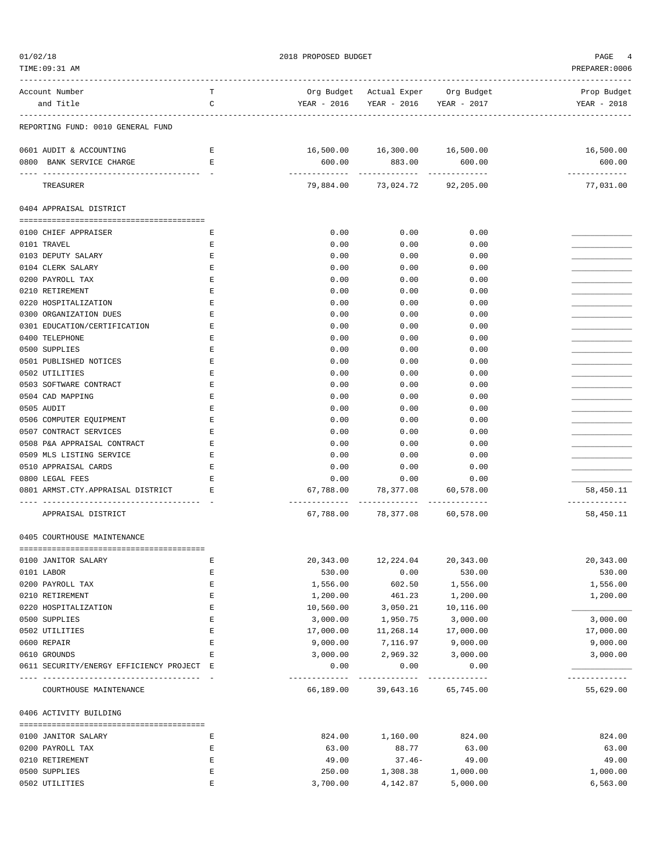| TIME: 09:31 AM                                                          |        |                        |                                       |                            | PREPARER:0006              |
|-------------------------------------------------------------------------|--------|------------------------|---------------------------------------|----------------------------|----------------------------|
| Account Number                                                          | т      |                        | Org Budget Actual Exper Org Budget    |                            | Prop Budget                |
| and Title                                                               | C      |                        | YEAR - 2016  YEAR - 2016  YEAR - 2017 |                            | YEAR - 2018                |
| REPORTING FUND: 0010 GENERAL FUND                                       |        |                        |                                       |                            |                            |
| 0601 AUDIT & ACCOUNTING                                                 | Е      |                        | 16,500.00  16,300.00  16,500.00       |                            | 16,500.00                  |
| 0800 BANK SERVICE CHARGE                                                | Е      | 600.00                 | 883.00                                | 600.00                     | 600.00                     |
| TREASURER                                                               |        |                        | 79,884.00 73,024.72 92,205.00         |                            | -------------<br>77,031.00 |
| 0404 APPRAISAL DISTRICT                                                 |        |                        |                                       |                            |                            |
|                                                                         |        |                        |                                       | 0.00                       |                            |
| 0100 CHIEF APPRAISER<br>0101 TRAVEL                                     | Е<br>Ε | 0.00<br>0.00           | 0.00<br>0.00                          | 0.00                       |                            |
| 0103 DEPUTY SALARY                                                      | Е      | 0.00                   | 0.00                                  | 0.00                       |                            |
| 0104 CLERK SALARY                                                       | Ε      | 0.00                   | 0.00                                  | 0.00                       |                            |
| 0200 PAYROLL TAX                                                        | Ε      | 0.00                   | 0.00                                  | 0.00                       |                            |
| 0210 RETIREMENT                                                         | Ε      | 0.00                   | 0.00                                  | 0.00                       |                            |
| 0220 HOSPITALIZATION                                                    | Ε      | 0.00                   | 0.00                                  | 0.00                       |                            |
| 0300 ORGANIZATION DUES                                                  | Ε      | 0.00                   | 0.00                                  | 0.00                       |                            |
| 0301 EDUCATION/CERTIFICATION                                            | Ε      | 0.00                   | 0.00                                  | 0.00                       |                            |
| 0400 TELEPHONE                                                          | Ε      | 0.00                   | 0.00                                  | 0.00                       |                            |
| 0500 SUPPLIES                                                           | Ε      | 0.00                   | 0.00                                  | 0.00                       |                            |
| 0501 PUBLISHED NOTICES                                                  | Ε      | 0.00                   | 0.00                                  | 0.00                       |                            |
| 0502 UTILITIES                                                          | Ε      | 0.00                   | 0.00                                  | 0.00                       |                            |
| 0503 SOFTWARE CONTRACT                                                  | Ε      | 0.00                   | 0.00                                  | 0.00                       |                            |
| 0504 CAD MAPPING                                                        | Ε      | 0.00                   | 0.00                                  | 0.00                       |                            |
| 0505 AUDIT                                                              | E      | 0.00                   | 0.00                                  | 0.00                       |                            |
| 0506 COMPUTER EQUIPMENT                                                 | Ε      | 0.00                   | 0.00                                  | 0.00                       |                            |
| 0507 CONTRACT SERVICES                                                  | Е      | 0.00                   | 0.00                                  | 0.00                       |                            |
| 0508 P&A APPRAISAL CONTRACT                                             | Ε      | 0.00                   | 0.00                                  | 0.00                       |                            |
| 0509 MLS LISTING SERVICE                                                | Ε      | 0.00                   | 0.00                                  | 0.00                       |                            |
| 0510 APPRAISAL CARDS                                                    | E      | 0.00                   | 0.00                                  | 0.00                       |                            |
| 0800 LEGAL FEES                                                         | Ε      | 0.00                   | 0.00                                  | 0.00                       |                            |
| 0801 ARMST.CTY.APPRAISAL DISTRICT<br>---------------------------------- | Е      | 67,788.00              | 78,377.08                             | 60,578.00                  | 58,450.11<br>------------- |
| APPRAISAL DISTRICT                                                      |        | 67,788.00              | 78,377.08                             | 60,578.00                  | 58,450.11                  |
| 0405 COURTHOUSE MAINTENANCE                                             |        |                        |                                       |                            |                            |
| 0100 JANITOR SALARY                                                     | Ε      | 20,343.00              | 12,224.04                             | 20,343.00                  | 20,343.00                  |
| 0101 LABOR                                                              | Ε      | 530.00                 | 0.00                                  | 530.00                     | 530.00                     |
| 0200 PAYROLL TAX                                                        | E      | 1,556.00               | 602.50                                | 1,556.00                   | 1,556.00                   |
| 0210 RETIREMENT                                                         | E      | 1,200.00               | 461.23                                | 1,200.00                   | 1,200.00                   |
| 0220 HOSPITALIZATION                                                    | Ε      | 10,560.00              | 3,050.21                              | 10,116.00                  |                            |
| 0500 SUPPLIES                                                           | Ε      | 3,000.00               | 1,950.75                              | 3,000.00                   | 3,000.00                   |
| 0502 UTILITIES                                                          | Ε      | 17,000.00              | 11,268.14                             | 17,000.00                  | 17,000.00                  |
| 0600 REPAIR                                                             | E      | 9,000.00               | 7,116.97                              | 9,000.00                   | 9,000.00                   |
| 0610 GROUNDS                                                            | Ε      | 3,000.00               | 2,969.32                              | 3,000.00                   | 3,000.00                   |
| 0611 SECURITY/ENERGY EFFICIENCY PROJECT E                               |        | 0.00                   | 0.00                                  | 0.00                       | ------------               |
| COURTHOUSE MAINTENANCE                                                  |        | ---------<br>66,189.00 | -------------<br>39,643.16            | -------------<br>65,745.00 | 55,629.00                  |
| 0406 ACTIVITY BUILDING                                                  |        |                        |                                       |                            |                            |
| 0100 JANITOR SALARY                                                     | Ε      | 824.00                 | 1,160.00                              | 824.00                     | 824.00                     |
| 0200 PAYROLL TAX                                                        | Ε      | 63.00                  | 88.77                                 | 63.00                      | 63.00                      |
| 0210 RETIREMENT                                                         | Ε      | 49.00                  | $37.46 -$                             | 49.00                      | 49.00                      |
| 0500 SUPPLIES                                                           | Ε      | 250.00                 | 1,308.38                              | 1,000.00                   | 1,000.00                   |
| 0502 UTILITIES                                                          | E      | 3,700.00               | 4,142.87                              | 5,000.00                   | 6,563.00                   |

 $01/02/18$  PROPOSED BUDGET PAGE 4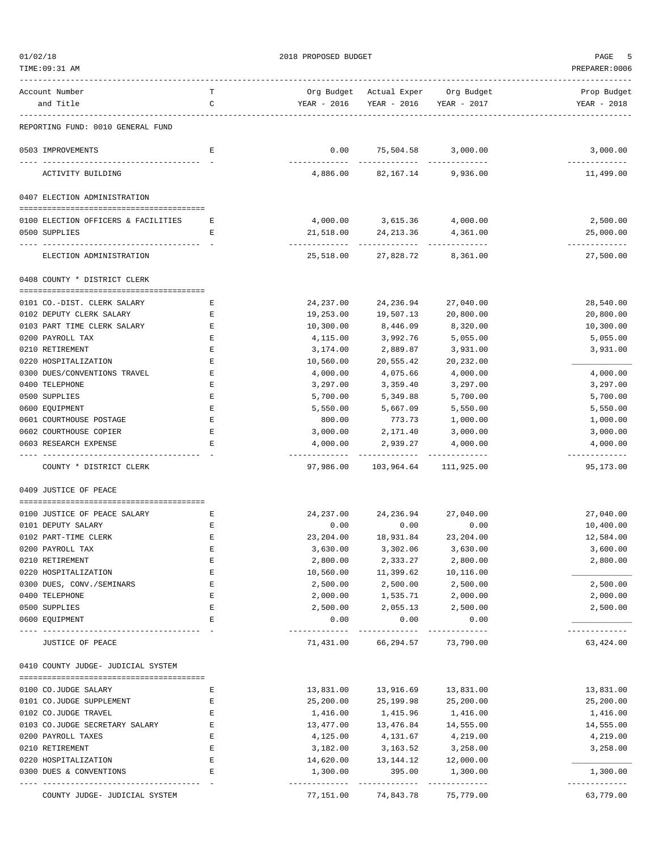TIME:09:31 AM PREPARER:0006

 $01/02/18$  PROPOSED BUDGET PAGE 5

| Account Number                                       | т      |                            | Org Budget Actual Exper Org Budget                  |                        | Prop Budget                |
|------------------------------------------------------|--------|----------------------------|-----------------------------------------------------|------------------------|----------------------------|
| and Title                                            | C      | YEAR - 2016                | YEAR - 2016                                         | YEAR - 2017            | YEAR - 2018                |
|                                                      |        |                            |                                                     |                        |                            |
| REPORTING FUND: 0010 GENERAL FUND                    |        |                            |                                                     |                        |                            |
| 0503 IMPROVEMENTS                                    | Е      | 0.00<br>----------         | 75,504.58 3,000.00<br>------------ --------------   |                        | 3,000.00<br>-------------  |
| ACTIVITY BUILDING                                    |        | 4,886.00                   |                                                     | 82,167.14 9,936.00     | 11,499.00                  |
| 0407 ELECTION ADMINISTRATION                         |        |                            |                                                     |                        |                            |
| 0100 ELECTION OFFICERS & FACILITIES                  | Е      | 4,000.00                   | 3,615.36                                            | 4,000.00               | 2,500.00                   |
| 0500 SUPPLIES                                        | Е      | 21,518.00                  | 24,213.36                                           | 4,361.00               | 25,000.00                  |
| ELECTION ADMINISTRATION                              |        | 25,518.00                  |                                                     | 27,828.72 8,361.00     | ------------<br>27,500.00  |
| 0408 COUNTY * DISTRICT CLERK                         |        |                            |                                                     |                        |                            |
|                                                      |        |                            |                                                     |                        |                            |
| 0101 CO.-DIST. CLERK SALARY                          | Ε      | 24,237.00                  | 24,236.94                                           | 27,040.00              | 28,540.00                  |
| 0102 DEPUTY CLERK SALARY                             | Е      | 19,253.00                  | 19,507.13                                           | 20,800.00              | 20,800.00                  |
| 0103 PART TIME CLERK SALARY                          | Е      | 10,300.00                  | 8,446.09                                            | 8,320.00               | 10,300.00                  |
| 0200 PAYROLL TAX                                     | Ε      | 4,115.00                   | 3,992.76                                            | 5,055.00               | 5,055.00                   |
| 0210 RETIREMENT                                      | E      | 3,174.00                   | 2,889.87                                            | 3,931.00               | 3,931.00                   |
| 0220 HOSPITALIZATION<br>0300 DUES/CONVENTIONS TRAVEL | Ε<br>Ε | 10,560.00<br>4,000.00      | 20,555.42<br>4,075.66                               | 20,232.00<br>4,000.00  | 4,000.00                   |
| 0400 TELEPHONE                                       | Ε      |                            | 3,359.40                                            | 3,297.00               | 3,297.00                   |
| 0500 SUPPLIES                                        | Ε      | 3,297.00<br>5,700.00       | 5,349.88                                            | 5,700.00               | 5,700.00                   |
| 0600 EQUIPMENT                                       | E      | 5,550.00                   | 5,667.09                                            | 5,550.00               | 5,550.00                   |
| 0601 COURTHOUSE POSTAGE                              | E      | 800.00                     | 773.73                                              | 1,000.00               | 1,000.00                   |
| 0602 COURTHOUSE COPIER                               | Ε      | 3,000.00                   | 2,171.40                                            | 3,000.00               | 3,000.00                   |
| 0603 RESEARCH EXPENSE                                | Ε      | 4,000.00                   | 2,939.27                                            | 4,000.00               | 4,000.00                   |
| COUNTY * DISTRICT CLERK                              |        | 97,986.00                  | ------------ -------------<br>103,964.64 111,925.00 |                        | -------------<br>95,173.00 |
| 0409 JUSTICE OF PEACE                                |        |                            |                                                     |                        |                            |
|                                                      |        |                            |                                                     |                        |                            |
| 0100 JUSTICE OF PEACE SALARY                         | Е      | 24,237.00                  |                                                     | 24, 236.94 27, 040.00  | 27,040.00                  |
| 0101 DEPUTY SALARY                                   | Е      | 0.00                       | 0.00                                                | 0.00                   | 10,400.00                  |
| 0102 PART-TIME CLERK                                 | Ε      | 23,204.00                  | 18,931.84                                           | 23,204.00              | 12,584.00                  |
| 0200 PAYROLL TAX                                     | E      | 3,630.00                   | 3,302.06                                            | 3,630.00               | 3,600.00                   |
| 0210 RETIREMENT<br>0220 HOSPITALIZATION              | Ε<br>E | 2,800.00                   | 2,333.27                                            | 2,800.00               | 2,800.00                   |
| 0300 DUES, CONV./SEMINARS                            | Ε      | 10,560.00<br>2,500.00      | 11,399.62<br>2,500.00                               | 10,116.00<br>2,500.00  | 2,500.00                   |
| 0400 TELEPHONE                                       | E      | 2,000.00                   | 1,535.71                                            | 2,000.00               | 2,000.00                   |
| 0500 SUPPLIES                                        | Ε      | 2,500.00                   | 2,055.13                                            | 2,500.00               | 2,500.00                   |
| 0600 EQUIPMENT                                       | Ε      | 0.00                       | 0.00                                                | 0.00                   |                            |
| JUSTICE OF PEACE                                     |        | -------------<br>71,431.00 | ---------<br>66,294.57                              | ---------<br>73,790.00 | -------------<br>63,424.00 |
| 0410 COUNTY JUDGE- JUDICIAL SYSTEM                   |        |                            |                                                     |                        |                            |
| 0100 CO.JUDGE SALARY                                 | Ε      | 13,831.00                  | 13,916.69                                           | 13,831.00              | 13,831.00                  |
| 0101 CO.JUDGE SUPPLEMENT                             | Ε      | 25,200.00                  | 25,199.98                                           | 25,200.00              | 25,200.00                  |
| 0102 CO.JUDGE TRAVEL                                 | Ε      | 1,416.00                   | 1,415.96                                            | 1,416.00               | 1,416.00                   |
| 0103 CO.JUDGE SECRETARY SALARY                       | Ε      | 13,477.00                  | 13,476.84                                           | 14,555.00              | 14,555.00                  |
| 0200 PAYROLL TAXES                                   | Ε      | 4,125.00                   | 4,131.67                                            | 4,219.00               | 4,219.00                   |
| 0210 RETIREMENT                                      | Ε      | 3,182.00                   | 3,163.52                                            | 3,258.00               | 3,258.00                   |
| 0220 HOSPITALIZATION                                 | Ε      | 14,620.00                  | 13,144.12                                           | 12,000.00              |                            |
| 0300 DUES & CONVENTIONS                              | E      | 1,300.00                   | 395.00                                              | 1,300.00               | 1,300.00                   |
|                                                      |        | ------------               |                                                     | ---------              | ------------               |
| COUNTY JUDGE- JUDICIAL SYSTEM                        |        | 77,151.00                  | 74,843.78                                           | 75,779.00              | 63,779.00                  |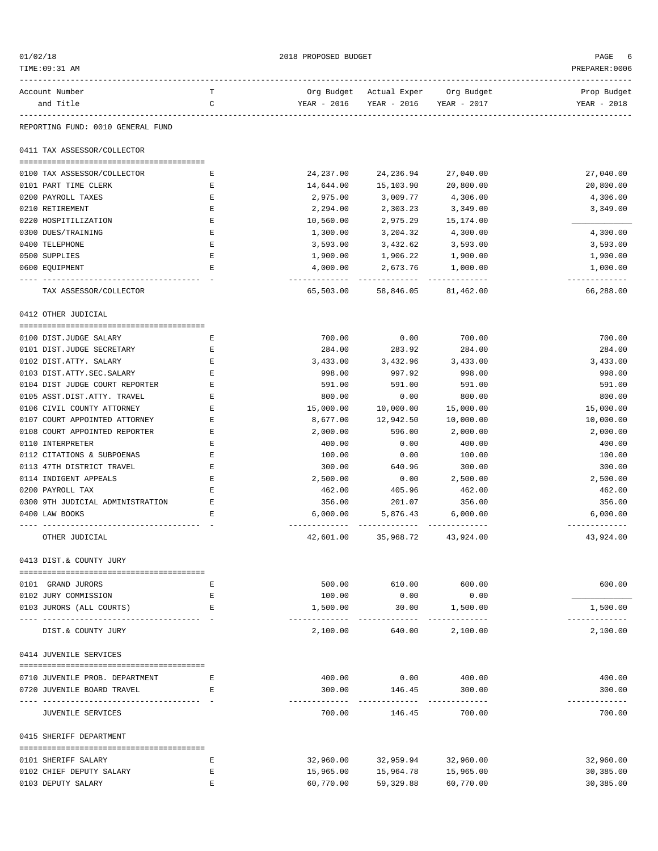| 01/02/18                                                        |             | 2018 PROPOSED BUDGET       |                                    |                            | PAGE                       |
|-----------------------------------------------------------------|-------------|----------------------------|------------------------------------|----------------------------|----------------------------|
| TIME:09:31 AM                                                   |             |                            |                                    |                            | PREPARER: 0006             |
| Account Number                                                  | т           |                            | Org Budget Actual Exper Org Budget |                            | Prop Budget                |
| and Title                                                       | C           | YEAR - 2016                | YEAR - 2016                        | YEAR - 2017                | YEAR - 2018                |
| REPORTING FUND: 0010 GENERAL FUND                               |             |                            |                                    |                            |                            |
| 0411 TAX ASSESSOR/COLLECTOR                                     |             |                            |                                    |                            |                            |
| 0100 TAX ASSESSOR/COLLECTOR                                     | Е           | 24,237.00                  | 24,236.94                          | 27,040.00                  | 27,040.00                  |
| 0101 PART TIME CLERK                                            | Ε           | 14,644.00                  | 15,103.90                          | 20,800.00                  | 20,800.00                  |
| 0200 PAYROLL TAXES                                              | Ε           | 2,975.00                   | 3,009.77                           | 4,306.00                   | 4,306.00                   |
| 0210 RETIREMENT                                                 | Ε           | 2,294.00                   | 2,303.23                           | 3,349.00                   | 3,349.00                   |
| 0220 HOSPITILIZATION                                            | Ε           | 10,560.00                  | 2,975.29                           | 15,174.00                  |                            |
| 0300 DUES/TRAINING                                              | Ε           | 1,300.00                   | 3,204.32                           | 4,300.00                   | 4,300.00                   |
| 0400 TELEPHONE                                                  | $\mathbf E$ | 3,593.00                   | 3,432.62                           | 3,593.00                   | 3,593.00                   |
| 0500 SUPPLIES                                                   | E           | 1,900.00                   | 1,906.22                           | 1,900.00                   | 1,900.00                   |
| 0600 EQUIPMENT                                                  | $\mathbf E$ | 4,000.00                   | 2,673.76                           | 1,000.00                   | 1,000.00                   |
| TAX ASSESSOR/COLLECTOR                                          |             | -------------<br>65,503.00 | -----------<br>58,846.05           | -------------<br>81,462.00 | -------------<br>66,288.00 |
| 0412 OTHER JUDICIAL                                             |             |                            |                                    |                            |                            |
| 0100 DIST.JUDGE SALARY                                          | Е           | 700.00                     | 0.00                               | 700.00                     | 700.00                     |
| 0101 DIST.JUDGE SECRETARY                                       | Ε           | 284.00                     | 283.92                             | 284.00                     | 284.00                     |
| 0102 DIST.ATTY. SALARY                                          | Ε           | 3,433.00                   | 3,432.96                           | 3,433.00                   | 3,433.00                   |
| 0103 DIST.ATTY.SEC.SALARY                                       | E           | 998.00                     | 997.92                             | 998.00                     | 998.00                     |
| 0104 DIST JUDGE COURT REPORTER                                  | Ε           | 591.00                     | 591.00                             | 591.00                     | 591.00                     |
| 0105 ASST.DIST.ATTY. TRAVEL                                     | Ε           | 800.00                     | 0.00                               | 800.00                     | 800.00                     |
| 0106 CIVIL COUNTY ATTORNEY                                      | Ε           | 15,000.00                  | 10,000.00                          | 15,000.00                  | 15,000.00                  |
| 0107 COURT APPOINTED ATTORNEY                                   | Ε           | 8,677.00                   | 12,942.50                          | 10,000.00                  | 10,000.00                  |
| 0108 COURT APPOINTED REPORTER                                   | E           | 2,000.00                   | 596.00                             | 2,000.00                   | 2,000.00                   |
| 0110 INTERPRETER                                                | E           | 400.00                     | 0.00                               | 400.00                     | 400.00                     |
| 0112 CITATIONS & SUBPOENAS                                      | Ε           | 100.00                     | 0.00                               | 100.00                     | 100.00                     |
| 0113 47TH DISTRICT TRAVEL                                       | Ε           | 300.00                     | 640.96                             | 300.00                     | 300.00                     |
| 0114 INDIGENT APPEALS                                           | Ε           | 2,500.00                   | 0.00                               | 2,500.00                   | 2,500.00                   |
| 0200 PAYROLL TAX                                                | E           | 462.00                     | 405.96                             | 462.00                     | 462.00                     |
| 0300 9TH JUDICIAL ADMINISTRATION                                | E           | 356.00                     | 201.07                             | 356.00                     | 356.00                     |
| 0400 LAW BOOKS                                                  | Ε           | 6,000.00                   | 5,876.43                           | 6,000.00                   | 6,000.00<br>-------------  |
| OTHER JUDICIAL                                                  |             | 42,601.00                  | 35,968.72                          | 43,924.00                  | 43,924.00                  |
| 0413 DIST.& COUNTY JURY                                         |             |                            |                                    |                            |                            |
| 0101 GRAND JURORS                                               | Е           | 500.00                     | 610.00                             | 600.00                     | 600.00                     |
| 0102 JURY COMMISSION                                            | Ε           | 100.00                     | 0.00                               | 0.00                       |                            |
| 0103 JURORS (ALL COURTS)                                        | Е           | 1,500.00                   | 30.00<br>-------------             | 1,500.00<br>-------------  | 1,500.00<br>-------------  |
| DIST.& COUNTY JURY                                              |             | 2,100.00                   | 640.00                             | 2,100.00                   | 2,100.00                   |
| 0414 JUVENILE SERVICES                                          |             |                            |                                    |                            |                            |
| 0710 JUVENILE PROB. DEPARTMENT                                  | Е           | 400.00                     | 0.00                               | 400.00                     | 400.00                     |
| 0720 JUVENILE BOARD TRAVEL<br>--------------------------------- | E.          | 300.00<br>---------        | 146.45<br>-----------              | 300.00<br>-------------    | 300.00<br>-----------      |
| JUVENILE SERVICES                                               |             | 700.00                     | 146.45                             | 700.00                     | 700.00                     |
| 0415 SHERIFF DEPARTMENT                                         |             |                            |                                    |                            |                            |
| 0101 SHERIFF SALARY                                             | Е           | 32,960.00                  | 32,959.94                          | 32,960.00                  | 32,960.00                  |
| 0102 CHIEF DEPUTY SALARY                                        | Ε           | 15,965.00                  | 15,964.78                          | 15,965.00                  | 30,385.00                  |
| 0103 DEPUTY SALARY                                              | $\mathbf E$ | 60,770.00                  | 59,329.88                          | 60,770.00                  | 30,385.00                  |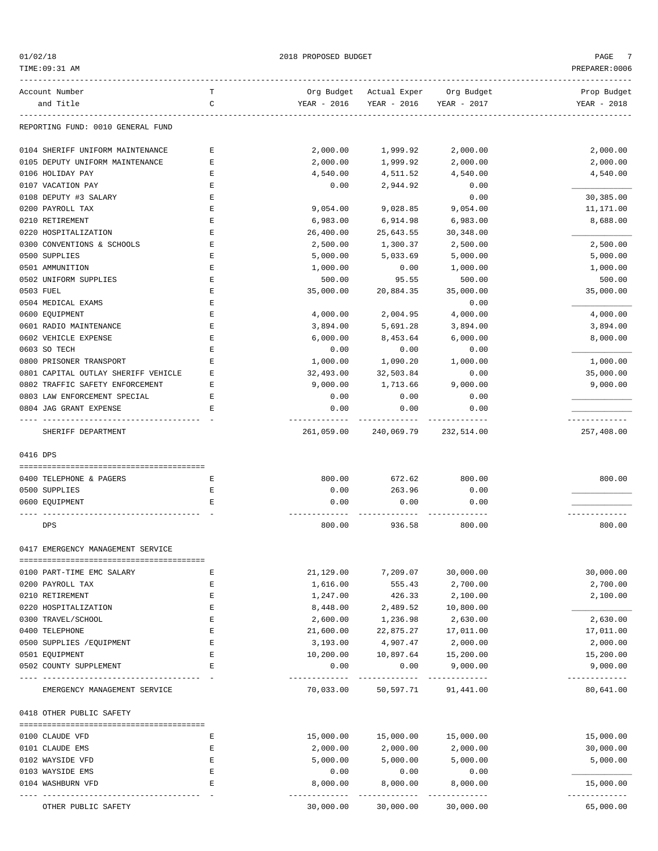$01/02/18$  PROPOSED BUDGET PAGE 7

| TIME: 09:31 AM                      |        |                       |                         |               | PREPARER: 0006 |
|-------------------------------------|--------|-----------------------|-------------------------|---------------|----------------|
| Account Number                      | т      | Org Budget            | Actual Exper Org Budget |               | Prop Budget    |
| and Title                           | C      | YEAR - 2016           | YEAR - 2016             | YEAR - 2017   | YEAR - 2018    |
| REPORTING FUND: 0010 GENERAL FUND   |        |                       |                         |               |                |
| 0104 SHERIFF UNIFORM MAINTENANCE    | Ε      | 2,000.00              | 1,999.92                | 2,000.00      | 2,000.00       |
| 0105 DEPUTY UNIFORM MAINTENANCE     | Ε      | 2,000.00              | 1,999.92                | 2,000.00      | 2,000.00       |
| 0106 HOLIDAY PAY                    | Ε      | 4,540.00              | 4,511.52                | 4,540.00      | 4,540.00       |
| 0107 VACATION PAY                   | Ε      | 0.00                  | 2,944.92                | 0.00          |                |
| 0108 DEPUTY #3 SALARY               | E      |                       |                         | 0.00          | 30,385.00      |
| 0200 PAYROLL TAX                    | Ε      | 9,054.00              | 9,028.85                | 9,054.00      | 11,171.00      |
| 0210 RETIREMENT                     | Ε      | 6,983.00              | 6,914.98                | 6,983.00      | 8,688.00       |
| 0220 HOSPITALIZATION                | Ε      | 26,400.00             | 25,643.55               | 30,348.00     |                |
| 0300 CONVENTIONS & SCHOOLS          | Ε      | 2,500.00              | 1,300.37                | 2,500.00      | 2,500.00       |
| 0500 SUPPLIES                       | Ε      | 5,000.00              | 5,033.69                | 5,000.00      | 5,000.00       |
| 0501 AMMUNITION                     | Ε      | 1,000.00              | 0.00                    | 1,000.00      | 1,000.00       |
| 0502 UNIFORM SUPPLIES               | Ε      | 500.00                | 95.55                   | 500.00        | 500.00         |
| 0503 FUEL                           | Ε      | 35,000.00             | 20,884.35               | 35,000.00     | 35,000.00      |
| 0504 MEDICAL EXAMS                  | Ε      |                       |                         | 0.00          |                |
| 0600 EQUIPMENT                      | Ε      | 4,000.00              | 2,004.95                | 4,000.00      | 4,000.00       |
| 0601 RADIO MAINTENANCE              | Ε      | 3,894.00              | 5,691.28                | 3,894.00      | 3,894.00       |
| 0602 VEHICLE EXPENSE                | Ε      | 6,000.00              | 8,453.64                | 6,000.00      | 8,000.00       |
| 0603 SO TECH                        | Ε      | 0.00                  | 0.00                    | 0.00          |                |
| 0800 PRISONER TRANSPORT             | E      | 1,000.00              | 1,090.20                | 1,000.00      | 1,000.00       |
| 0801 CAPITAL OUTLAY SHERIFF VEHICLE | Ε      | 32,493.00             | 32,503.84               | 0.00          | 35,000.00      |
| 0802 TRAFFIC SAFETY ENFORCEMENT     | Ε      | 9,000.00              | 1,713.66                | 9,000.00      | 9,000.00       |
|                                     |        |                       |                         |               |                |
| 0803 LAW ENFORCEMENT SPECIAL        | Ε      | 0.00                  | 0.00                    | 0.00          |                |
| 0804 JAG GRANT EXPENSE              | Ε      | 0.00<br>------------- | 0.00                    | 0.00<br>.     | .              |
| SHERIFF DEPARTMENT                  |        | 261,059.00            | 240,069.79              | 232,514.00    | 257,408.00     |
| 0416 DPS                            |        |                       |                         |               |                |
| 0400 TELEPHONE & PAGERS             | Ε      | 800.00                | 672.62                  | 800.00        | 800.00         |
| 0500 SUPPLIES                       |        |                       |                         |               |                |
| 0600 EQUIPMENT                      | Е<br>E | 0.00<br>0.00          | 263.96<br>0.00          | 0.00<br>0.00  |                |
|                                     |        |                       |                         |               |                |
| DPS                                 |        | 800.00                | 936.58                  | 800.00        | 800.00         |
| 0417 EMERGENCY MANAGEMENT SERVICE   |        |                       |                         |               |                |
| 0100 PART-TIME EMC SALARY           | Е      | 21,129.00             | 7,209.07                | 30,000.00     | 30,000.00      |
| 0200 PAYROLL TAX                    | Ε      | 1,616.00              | 555.43                  | 2,700.00      | 2,700.00       |
| 0210 RETIREMENT                     | Ε      | 1,247.00              | 426.33                  | 2,100.00      | 2,100.00       |
| 0220 HOSPITALIZATION                | Ε      | 8,448.00              | 2,489.52                | 10,800.00     |                |
| 0300 TRAVEL/SCHOOL                  | Е      | 2,600.00              | 1,236.98                | 2,630.00      | 2,630.00       |
| 0400 TELEPHONE                      | Ε      | 21,600.00             | 22,875.27               | 17,011.00     | 17,011.00      |
| 0500 SUPPLIES / EQUIPMENT           | E      | 3,193.00              | 4,907.47                | 2,000.00      | 2,000.00       |
| 0501 EQUIPMENT                      | Ε      | 10,200.00             | 10,897.64               | 15,200.00     | 15,200.00      |
| 0502 COUNTY SUPPLEMENT              | Ε      | 0.00                  | 0.00                    | 9,000.00      | 9,000.00       |
|                                     |        | ----------            | -------------           | ------------- | -------------  |
| EMERGENCY MANAGEMENT SERVICE        |        | 70,033.00             | 50,597.71               | 91,441.00     | 80,641.00      |
| 0418 OTHER PUBLIC SAFETY            |        |                       |                         |               |                |
| 0100 CLAUDE VFD                     | Ε      | 15,000.00             | 15,000.00               | 15,000.00     | 15,000.00      |
| 0101 CLAUDE EMS                     | Ε      | 2,000.00              | 2,000.00                | 2,000.00      | 30,000.00      |
| 0102 WAYSIDE VFD                    | Ε      | 5,000.00              | 5,000.00                | 5,000.00      | 5,000.00       |
| 0103 WAYSIDE EMS                    | E      | 0.00                  | 0.00                    | 0.00          |                |
| 0104 WASHBURN VFD                   | Ε      | 8,000.00              | 8,000.00                | 8,000.00      | 15,000.00      |
|                                     |        |                       |                         |               | ---------      |

OTHER PUBLIC SAFETY 30,000.00 30,000.00 30,000.00 65,000.00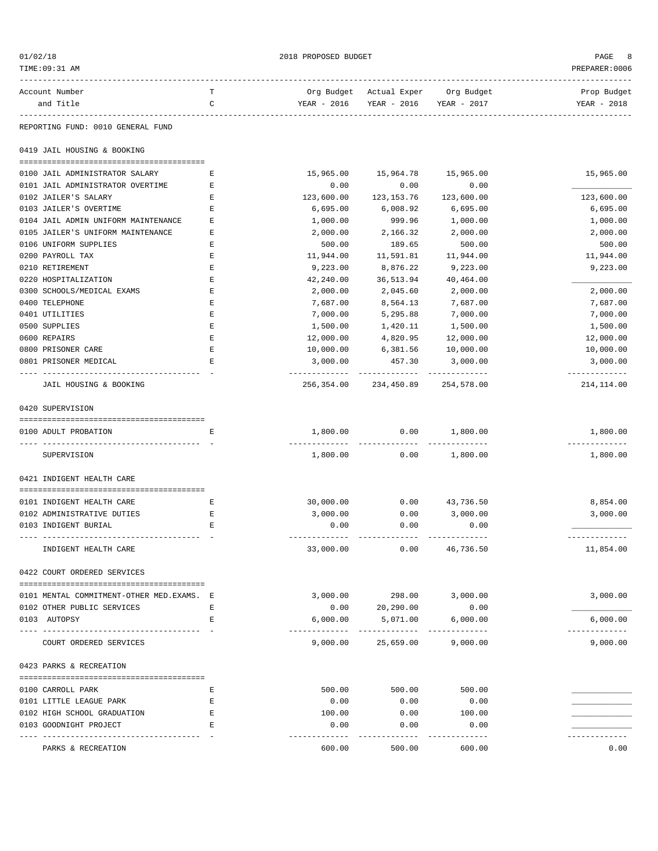| 01/02/18                                                     |                | 2018 PROPOSED BUDGET      |                                                               |                        |                            |  |
|--------------------------------------------------------------|----------------|---------------------------|---------------------------------------------------------------|------------------------|----------------------------|--|
| TIME:09:31 AM                                                |                |                           |                                                               |                        | PREPARER: 0006             |  |
| Account Number<br>and Title                                  | Т<br>C         | YEAR - 2016               | Org Budget Actual Exper Org Budget<br>YEAR - 2016 YEAR - 2017 |                        | Prop Budget<br>YEAR - 2018 |  |
|                                                              | -------------- |                           |                                                               |                        |                            |  |
| REPORTING FUND: 0010 GENERAL FUND                            |                |                           |                                                               |                        |                            |  |
| 0419 JAIL HOUSING & BOOKING                                  |                |                           |                                                               |                        |                            |  |
| 0100 JAIL ADMINISTRATOR SALARY                               | Е              | 15,965.00                 | 15,964.78                                                     | 15,965.00              | 15,965.00                  |  |
| 0101 JAIL ADMINISTRATOR OVERTIME                             | Е              | 0.00                      | 0.00                                                          | 0.00                   |                            |  |
| 0102 JAILER'S SALARY                                         | Е              | 123,600.00                | 123, 153. 76                                                  | 123,600.00             | 123,600.00                 |  |
| 0103 JAILER'S OVERTIME                                       | Ε              | 6,695.00                  | 6,008.92                                                      | 6,695.00               | 6,695.00                   |  |
| 0104 JAIL ADMIN UNIFORM MAINTENANCE                          | Е              | 1,000.00                  | 999.96                                                        | 1,000.00               | 1,000.00                   |  |
| 0105 JAILER'S UNIFORM MAINTENANCE                            | Ε              | 2,000.00                  | 2,166.32                                                      | 2,000.00               | 2,000.00                   |  |
| 0106 UNIFORM SUPPLIES                                        | Е              | 500.00                    | 189.65                                                        | 500.00                 | 500.00                     |  |
| 0200 PAYROLL TAX                                             | Ε              | 11,944.00                 | 11,591.81                                                     | 11,944.00              | 11,944.00                  |  |
| 0210 RETIREMENT                                              | Ε              | 9,223.00                  | 8,876.22                                                      | 9,223.00               | 9,223.00                   |  |
| 0220 HOSPITALIZATION                                         | Ε              | 42,240.00                 | 36,513.94                                                     | 40,464.00              |                            |  |
| 0300 SCHOOLS/MEDICAL EXAMS                                   | Ε              | 2,000.00                  | 2,045.60                                                      | 2,000.00               | 2,000.00                   |  |
| 0400 TELEPHONE                                               | Ε              | 7,687.00                  | 8,564.13                                                      | 7,687.00               | 7,687.00                   |  |
| 0401 UTILITIES                                               | Ε              | 7,000.00                  | 5,295.88                                                      | 7,000.00               | 7,000.00                   |  |
| 0500 SUPPLIES                                                | E              | 1,500.00                  | 1,420.11                                                      | 1,500.00               | 1,500.00                   |  |
| 0600 REPAIRS                                                 | Ε              | 12,000.00                 | 4,820.95                                                      | 12,000.00              | 12,000.00                  |  |
| 0800 PRISONER CARE                                           | Ε              | 10,000.00                 | 6,381.56                                                      | 10,000.00              | 10,000.00                  |  |
| 0801 PRISONER MEDICAL<br>----------------------------------- | Е              | 3,000.00<br>------------- | 457.30<br>------------------------------                      | 3,000.00               | 3,000.00<br>-------------  |  |
| JAIL HOUSING & BOOKING                                       |                |                           | 256,354.00 234,450.89 254,578.00                              |                        | 214,114.00                 |  |
| 0420 SUPERVISION                                             |                |                           |                                                               |                        |                            |  |
| 0100 ADULT PROBATION                                         | Е              | 1,800.00                  | 0.00                                                          | 1,800.00               | 1,800.00                   |  |
| SUPERVISION                                                  |                | 1,800.00                  | -----------<br>0.00                                           | ----------<br>1,800.00 | -------------<br>1,800.00  |  |
|                                                              |                |                           |                                                               |                        |                            |  |
| 0421 INDIGENT HEALTH CARE                                    |                |                           |                                                               |                        |                            |  |
| 0101 INDIGENT HEALTH CARE                                    | Е              | 30,000.00                 | 0.00                                                          | 43,736.50              | 8,854.00                   |  |
| 0102 ADMINISTRATIVE DUTIES                                   | Е              | 3,000.00                  | 0.00                                                          | 3,000.00               | 3,000.00                   |  |
| 0103 INDIGENT BURIAL                                         | Ε              | 0.00                      | 0.00                                                          | 0.00                   | -------------              |  |
| INDIGENT HEALTH CARE                                         |                | 33,000.00                 | 0.00                                                          | 46,736.50              | 11,854.00                  |  |
| 0422 COURT ORDERED SERVICES                                  |                |                           |                                                               |                        |                            |  |
|                                                              |                | 3,000.00                  | 298.00 3,000.00                                               |                        | 3,000.00                   |  |
| 0101 MENTAL COMMITMENT-OTHER MED.EXAMS. E                    |                |                           |                                                               |                        |                            |  |
| 0102 OTHER PUBLIC SERVICES<br>0103 AUTOPSY                   | Е<br>Е         | 0.00<br>6,000.00          | 20,290.00<br>5,071.00                                         | 0.00<br>6,000.00       | 6,000.00                   |  |
|                                                              |                | -------------             | -----------                                                   | -------------          | -------------              |  |
| COURT ORDERED SERVICES                                       |                | 9,000.00                  | 25,659.00                                                     | 9,000.00               | 9,000.00                   |  |
| 0423 PARKS & RECREATION                                      |                |                           |                                                               |                        |                            |  |
| 0100 CARROLL PARK                                            | Е              | 500.00                    | 500.00                                                        | 500.00                 |                            |  |
| 0101 LITTLE LEAGUE PARK                                      | Е              | 0.00                      | 0.00                                                          | 0.00                   |                            |  |
| 0102 HIGH SCHOOL GRADUATION                                  | Е              | 100.00                    | 0.00                                                          | 100.00                 |                            |  |
| 0103 GOODNIGHT PROJECT                                       | Е              | 0.00                      | 0.00                                                          | 0.00                   |                            |  |
| PARKS & RECREATION                                           |                | ----------<br>600.00      | 500.00                                                        | 600.00                 | 0.00                       |  |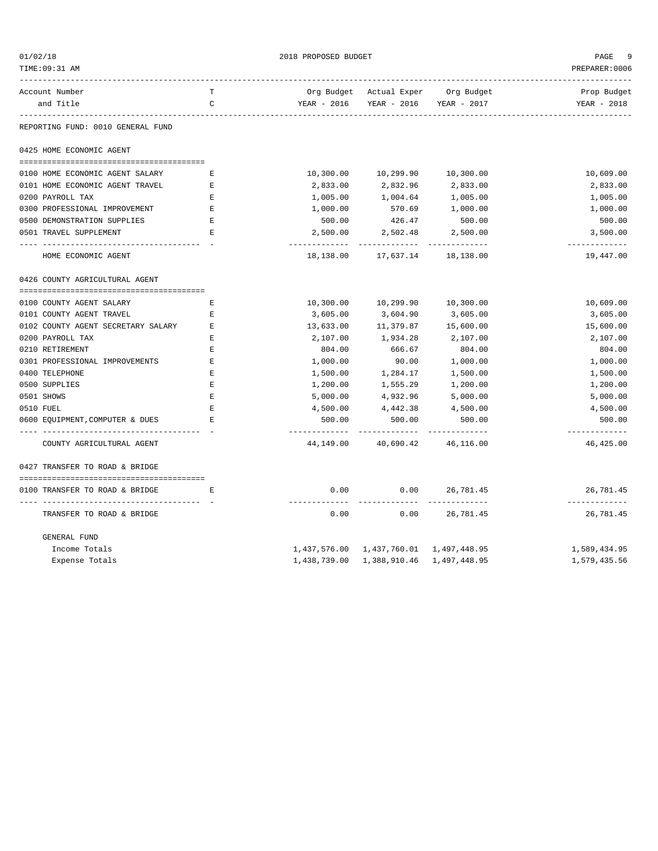| 01/02/18<br>TIME: 09:31 AM             |              | 2018 PROPOSED BUDGET    |                                        |                                    | PAGE<br>9<br>PREPARER: 0006 |
|----------------------------------------|--------------|-------------------------|----------------------------------------|------------------------------------|-----------------------------|
| Account Number                         | т            |                         |                                        | Org Budget Actual Exper Org Budget | Prop Budget                 |
| and Title                              | $\mathsf{C}$ | YEAR - 2016             | YEAR - 2016                            | YEAR - 2017                        | YEAR - 2018                 |
| .<br>REPORTING FUND: 0010 GENERAL FUND |              |                         |                                        |                                    |                             |
| 0425 HOME ECONOMIC AGENT               |              |                         |                                        |                                    |                             |
| 0100 HOME ECONOMIC AGENT SALARY        | Е            | 10,300.00               | 10,299.90                              | 10,300.00                          | 10,609.00                   |
| 0101 HOME ECONOMIC AGENT TRAVEL        | E            | 2,833.00                | 2,832.96                               | 2,833.00                           | 2,833.00                    |
| 0200 PAYROLL TAX                       | Е            | 1,005.00                | 1,004.64                               | 1,005.00                           | 1,005.00                    |
| 0300 PROFESSIONAL IMPROVEMENT          | Е            | 1,000.00                | 570.69                                 | 1,000.00                           | 1,000.00                    |
| 0500 DEMONSTRATION SUPPLIES            | E            | 500.00                  | 426.47                                 | 500.00                             | 500.00                      |
| 0501 TRAVEL SUPPLEMENT                 | Е            | 2,500.00                | 2,502.48                               | 2,500.00                           | 3,500.00                    |
|                                        |              | -------------           | -------------                          | --------------                     | -------------               |
| HOME ECONOMIC AGENT                    |              | 18,138.00               | 17,637.14                              | 18,138.00                          | 19,447.00                   |
| 0426 COUNTY AGRICULTURAL AGENT         |              |                         |                                        |                                    |                             |
|                                        |              |                         |                                        |                                    |                             |
| 0100 COUNTY AGENT SALARY               | E            | 10,300.00               | 10,299.90                              | 10,300.00                          | 10,609.00                   |
| 0101 COUNTY AGENT TRAVEL               | Е            | 3,605.00                | 3,604.90                               | 3,605.00                           | 3,605.00                    |
| 0102 COUNTY AGENT SECRETARY SALARY     | Е            | 13,633.00               | 11,379.87                              | 15,600.00                          | 15,600.00                   |
| 0200 PAYROLL TAX                       | E            | 2,107.00                | 1,934.28                               | 2,107.00                           | 2,107.00                    |
| 0210 RETIREMENT                        | Е            | 804.00                  | 666.67                                 | 804.00                             | 804.00                      |
| 0301 PROFESSIONAL IMPROVEMENTS         | Ε            | 1,000.00                | 90.00                                  | 1,000.00                           | 1,000.00                    |
| 0400 TELEPHONE                         | E            | 1,500.00                | 1,284.17                               | 1,500.00                           | 1,500.00                    |
| 0500 SUPPLIES                          | Ε            | 1,200.00                | 1,555.29                               | 1,200.00                           | 1,200.00                    |
| 0501 SHOWS                             | $\mathbf E$  | 5,000.00                | 4,932.96                               | 5,000.00                           | 5,000.00                    |
| 0510 FUEL                              | $\mathbf E$  | 4,500.00                | 4,442.38                               | 4,500.00                           | 4,500.00                    |
| 0600 EQUIPMENT, COMPUTER & DUES        | E.           | 500.00<br>------------- | 500.00<br>------------                 | 500.00<br>-----------              | 500.00<br>-------------     |
| COUNTY AGRICULTURAL AGENT              |              | 44,149.00               | 40,690.42                              | 46,116.00                          | 46,425.00                   |
| 0427 TRANSFER TO ROAD & BRIDGE         |              |                         |                                        |                                    |                             |
|                                        |              |                         |                                        |                                    |                             |
| 0100 TRANSFER TO ROAD & BRIDGE         | Е            | 0.00<br>-------------   | 0.00<br>-----------                    | 26,781.45<br>------------          | 26,781.45<br>-------------  |
| TRANSFER TO ROAD & BRIDGE              |              | 0.00                    | 0.00                                   | 26,781.45                          | 26,781.45                   |
| GENERAL FUND                           |              |                         |                                        |                                    |                             |
| Income Totals                          |              |                         | 1,437,576.00 1,437,760.01 1,497,448.95 |                                    | 1,589,434.95                |
| Expense Totals                         |              | 1,438,739.00            | 1,388,910.46                           | 1,497,448.95                       | 1,579,435.56                |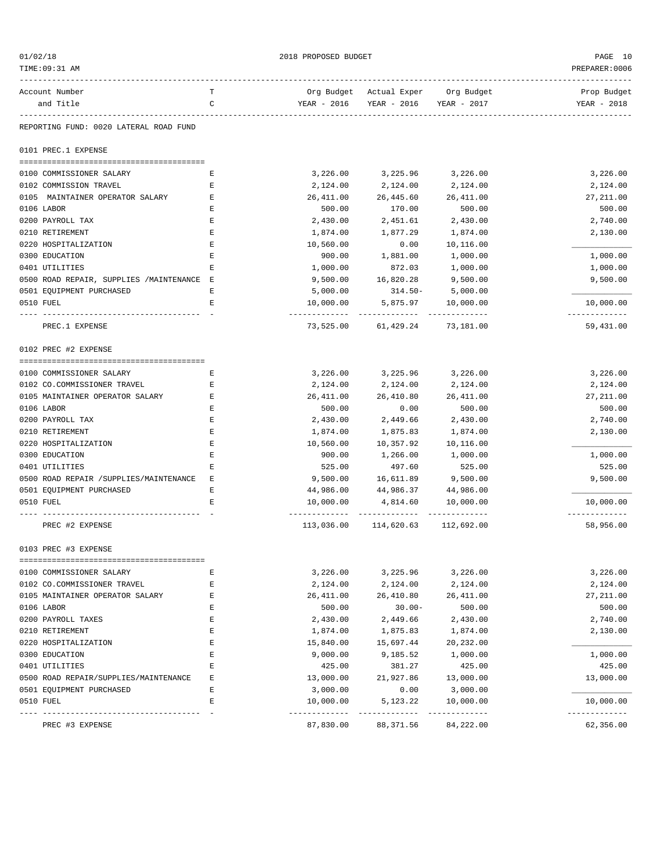| 01/02/18                                  |   | 2018 PROPOSED BUDGET     |                                    |                            | PAGE 10                    |
|-------------------------------------------|---|--------------------------|------------------------------------|----------------------------|----------------------------|
| TIME:09:31 AM                             |   |                          |                                    |                            | PREPARER: 0006             |
| Account Number                            | т |                          | Org Budget Actual Exper Org Budget |                            | Prop Budget                |
| and Title                                 | C | YEAR - 2016              | YEAR - 2016                        | YEAR - 2017                | YEAR - 2018                |
| REPORTING FUND: 0020 LATERAL ROAD FUND    |   |                          |                                    |                            |                            |
| 0101 PREC.1 EXPENSE                       |   |                          |                                    |                            |                            |
| 0100 COMMISSIONER SALARY                  | Е | 3,226.00                 | 3,225.96                           | 3,226.00                   | 3,226.00                   |
| 0102 COMMISSION TRAVEL                    | Ε | 2,124.00                 | 2,124.00                           | 2,124.00                   | 2,124.00                   |
| 0105 MAINTAINER OPERATOR SALARY           | Ε | 26,411.00                | 26,445.60                          | 26,411.00                  | 27, 211.00                 |
| 0106 LABOR                                | Е | 500.00                   | 170.00                             | 500.00                     | 500.00                     |
| 0200 PAYROLL TAX                          | Е | 2,430.00                 | 2,451.61                           | 2,430.00                   | 2,740.00                   |
| 0210 RETIREMENT                           | Ε | 1,874.00                 | 1,877.29                           | 1,874.00                   | 2,130.00                   |
| 0220 HOSPITALIZATION                      | Ε | 10,560.00                | 0.00                               | 10,116.00                  |                            |
| 0300 EDUCATION                            | Ε | 900.00                   | 1,881.00                           | 1,000.00                   | 1,000.00                   |
| 0401 UTILITIES                            | Ε | 1,000.00                 | 872.03                             | 1,000.00                   | 1,000.00                   |
| 0500 ROAD REPAIR, SUPPLIES /MAINTENANCE E |   | 9,500.00                 | 16,820.28                          | 9,500.00                   | 9,500.00                   |
| 0501 EQUIPMENT PURCHASED                  | Е | 5,000.00                 | $314.50-$                          | 5,000.00                   |                            |
| 0510 FUEL                                 | Е | 10,000.00                | 5,875.97                           | 10,000.00                  | 10,000.00<br>------------- |
| PREC.1 EXPENSE                            |   | 73,525.00                | 61,429.24                          | 73,181.00                  | 59,431.00                  |
| 0102 PREC #2 EXPENSE                      |   |                          |                                    |                            |                            |
| 0100 COMMISSIONER SALARY                  | Е | 3,226.00                 | 3,225.96                           | 3,226.00                   | 3,226.00                   |
| 0102 CO.COMMISSIONER TRAVEL               | Ε | 2,124.00                 | 2,124.00                           | 2,124.00                   | 2,124.00                   |
| 0105 MAINTAINER OPERATOR SALARY           | Е | 26,411.00                | 26,410.80                          | 26,411.00                  | 27, 211.00                 |
| 0106 LABOR                                | Ε | 500.00                   | 0.00                               | 500.00                     | 500.00                     |
| 0200 PAYROLL TAX                          | Е | 2,430.00                 | 2,449.66                           | 2,430.00                   | 2,740.00                   |
| 0210 RETIREMENT                           | Ε | 1,874.00                 | 1,875.83                           | 1,874.00                   | 2,130.00                   |
| 0220 HOSPITALIZATION                      | E | 10,560.00                | 10,357.92                          | 10,116.00                  |                            |
| 0300 EDUCATION                            | E | 900.00                   | 1,266.00                           | 1,000.00                   | 1,000.00                   |
| 0401 UTILITIES                            | Ε | 525.00                   | 497.60                             | 525.00                     | 525.00                     |
| 0500 ROAD REPAIR / SUPPLIES/MAINTENANCE   | Е | 9,500.00                 | 16,611.89                          | 9,500.00                   | 9,500.00                   |
| 0501 EQUIPMENT PURCHASED                  | Ε | 44,986.00                | 44,986.37                          | 44,986.00                  |                            |
| 0510 FUEL                                 | Ε | 10,000.00                | 4,814.60<br>-----------            | 10,000.00<br>------------  | 10,000.00<br>-----------   |
| PREC #2 EXPENSE                           |   | 113,036.00               | 114,620.63                         | 112,692.00                 | 58,956.00                  |
| 0103 PREC #3 EXPENSE                      |   |                          |                                    |                            |                            |
| 0100 COMMISSIONER SALARY                  | Ε | 3,226.00                 | 3,225.96                           | 3,226.00                   | 3,226.00                   |
| 0102 CO.COMMISSIONER TRAVEL               | E | 2,124.00                 | 2,124.00                           | 2,124.00                   | 2,124.00                   |
| 0105 MAINTAINER OPERATOR SALARY           | Ε | 26,411.00                | 26,410.80                          | 26,411.00                  | 27, 211.00                 |
| 0106 LABOR                                | Ε | 500.00                   | $30.00 -$                          | 500.00                     | 500.00                     |
| 0200 PAYROLL TAXES                        | Ε | 2,430.00                 | 2,449.66                           | 2,430.00                   | 2,740.00                   |
| 0210 RETIREMENT                           | E | 1,874.00                 | 1,875.83                           | 1,874.00                   | 2,130.00                   |
| 0220 HOSPITALIZATION                      | E | 15,840.00                | 15,697.44                          | 20,232.00                  |                            |
| 0300 EDUCATION                            | Ε | 9,000.00                 | 9,185.52                           | 1,000.00                   | 1,000.00                   |
| 0401 UTILITIES                            | Ε | 425.00                   | 381.27                             | 425.00                     | 425.00                     |
| 0500 ROAD REPAIR/SUPPLIES/MAINTENANCE     | Ε | 13,000.00                | 21,927.86                          | 13,000.00                  | 13,000.00                  |
| 0501 EQUIPMENT PURCHASED                  | Ε | 3,000.00                 | 0.00                               | 3,000.00                   |                            |
| 0510 FUEL                                 | Ε | 10,000.00                | 5,123.22                           | 10,000.00                  | 10,000.00                  |
| PREC #3 EXPENSE                           |   | -----------<br>87,830.00 | 88, 371.56                         | -------------<br>84,222.00 | -------------<br>62,356.00 |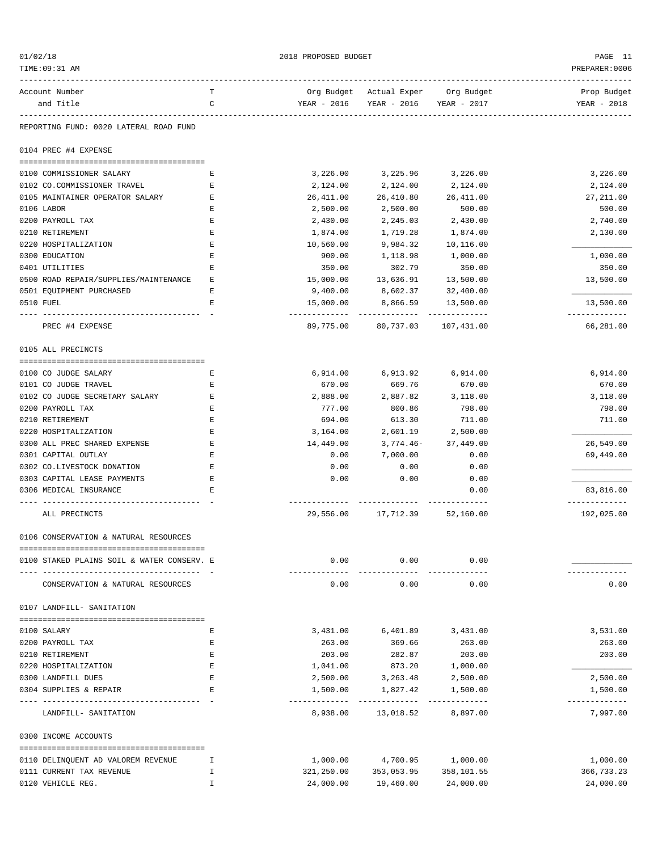| 01/02/18                                   |               | 2018 PROPOSED BUDGET |                                     |            | PAGE 11                   |
|--------------------------------------------|---------------|----------------------|-------------------------------------|------------|---------------------------|
| TIME: 09:31 AM                             |               |                      |                                     |            | PREPARER: 0006            |
| Account Number                             | т             |                      | Org Budget Actual Exper Org Budget  |            | Prop Budget               |
| and Title                                  | C             |                      | YEAR - 2016 YEAR - 2016 YEAR - 2017 |            | YEAR - 2018               |
| REPORTING FUND: 0020 LATERAL ROAD FUND     |               |                      |                                     |            |                           |
| 0104 PREC #4 EXPENSE                       |               |                      |                                     |            |                           |
| 0100 COMMISSIONER SALARY                   | Ε             | 3,226.00             | 3,225.96                            | 3,226.00   | 3,226.00                  |
| 0102 CO.COMMISSIONER TRAVEL                | Ε             | 2,124.00             | 2,124.00                            | 2,124.00   | 2,124.00                  |
| 0105 MAINTAINER OPERATOR SALARY            | Ε             | 26,411.00            | 26,410.80                           | 26,411.00  | 27, 211.00                |
| 0106 LABOR                                 | Ε             | 2,500.00             | 2,500.00                            | 500.00     | 500.00                    |
| 0200 PAYROLL TAX                           | Ε             | 2,430.00             | 2,245.03                            | 2,430.00   | 2,740.00                  |
| 0210 RETIREMENT                            | Ε             | 1,874.00             | 1,719.28                            | 1,874.00   | 2,130.00                  |
| 0220 HOSPITALIZATION                       | Ε             | 10,560.00            | 9,984.32                            | 10,116.00  |                           |
| 0300 EDUCATION                             | Ε             | 900.00               | 1,118.98                            | 1,000.00   | 1,000.00                  |
| 0401 UTILITIES                             | Ε             | 350.00               | 302.79                              | 350.00     | 350.00                    |
| 0500 ROAD REPAIR/SUPPLIES/MAINTENANCE      | Е             | 15,000.00            | 13,636.91                           | 13,500.00  | 13,500.00                 |
| 0501 EQUIPMENT PURCHASED                   | Ε             | 9,400.00             | 8,602.37 32,400.00                  |            |                           |
| 0510 FUEL                                  | E             | 15,000.00            | 8,866.59                            | 13,500.00  | 13,500.00                 |
|                                            |               |                      |                                     |            | -------------             |
| PREC #4 EXPENSE                            |               |                      | 89,775.00 80,737.03 107,431.00      |            | 66,281.00                 |
| 0105 ALL PRECINCTS                         |               |                      |                                     |            |                           |
|                                            |               |                      |                                     |            |                           |
| 0100 CO JUDGE SALARY                       | Е             | 6,914.00             | 6,913.92                            | 6,914.00   | 6,914.00                  |
| 0101 CO JUDGE TRAVEL                       | Ε             | 670.00               | 669.76                              | 670.00     | 670.00                    |
| 0102 CO JUDGE SECRETARY SALARY             | Ε             | 2,888.00             | 2,887.82                            | 3,118.00   | 3,118.00                  |
| 0200 PAYROLL TAX                           | Ε             | 777.00               | 800.86                              | 798.00     | 798.00                    |
| 0210 RETIREMENT                            | Ε             | 694.00               | 613.30                              | 711.00     | 711.00                    |
| 0220 HOSPITALIZATION                       | E             | 3,164.00             | 2,601.19                            | 2,500.00   |                           |
| 0300 ALL PREC SHARED EXPENSE               | E             | 14,449.00            | $3,774.46-$                         | 37,449.00  | 26,549.00                 |
| 0301 CAPITAL OUTLAY                        | Ε             | 0.00                 | 7,000.00                            | 0.00       | 69,449.00                 |
| 0302 CO.LIVESTOCK DONATION                 | Ε             | 0.00                 | 0.00                                | 0.00       |                           |
| 0303 CAPITAL LEASE PAYMENTS                | Ε             | 0.00                 | 0.00                                | 0.00       |                           |
| 0306 MEDICAL INSURANCE                     | Ε             |                      |                                     | 0.00       | 83,816.00<br>------------ |
| ALL PRECINCTS                              |               | 29,556.00            | 17,712.39 52,160.00                 |            | 192,025.00                |
| 0106 CONSERVATION & NATURAL RESOURCES      |               |                      |                                     |            |                           |
| 0100 STAKED PLAINS SOIL & WATER CONSERV. E |               | 0.00                 | 0.00                                | 0.00       |                           |
| CONSERVATION & NATURAL RESOURCES           |               | 0.00                 | --------<br>0.00                    | 0.00       | 0.00                      |
| 0107 LANDFILL- SANITATION                  |               |                      |                                     |            |                           |
|                                            |               |                      |                                     |            |                           |
| 0100 SALARY                                | Ε             | 3,431.00             | 6,401.89                            | 3,431.00   | 3,531.00                  |
| 0200 PAYROLL TAX                           | Ε             | 263.00               | 369.66                              | 263.00     | 263.00                    |
| 0210 RETIREMENT<br>0220 HOSPITALIZATION    | Ε             | 203.00               | 282.87                              | 203.00     | 203.00                    |
|                                            | E             | 1,041.00             | 873.20                              | 1,000.00   |                           |
| 0300 LANDFILL DUES                         | Ε             | 2,500.00             | 3,263.48                            | 2,500.00   | 2,500.00                  |
| 0304 SUPPLIES & REPAIR                     | Ε             | 1,500.00             | 1,827.42<br>-----------             | 1,500.00   | 1,500.00<br>------------- |
| LANDFILL- SANITATION                       |               | 8,938.00             | 13,018.52                           | 8,897.00   | 7,997.00                  |
| 0300 INCOME ACCOUNTS                       |               |                      |                                     |            |                           |
| 0110 DELINQUENT AD VALOREM REVENUE         | I             | 1,000.00             | 4,700.95                            | 1,000.00   | 1,000.00                  |
| 0111 CURRENT TAX REVENUE                   | I             | 321,250.00           | 353,053.95                          | 358,101.55 | 366,733.23                |
| 0120 VEHICLE REG.                          | $\mathbbm{I}$ | 24,000.00            | 19,460.00                           | 24,000.00  | 24,000.00                 |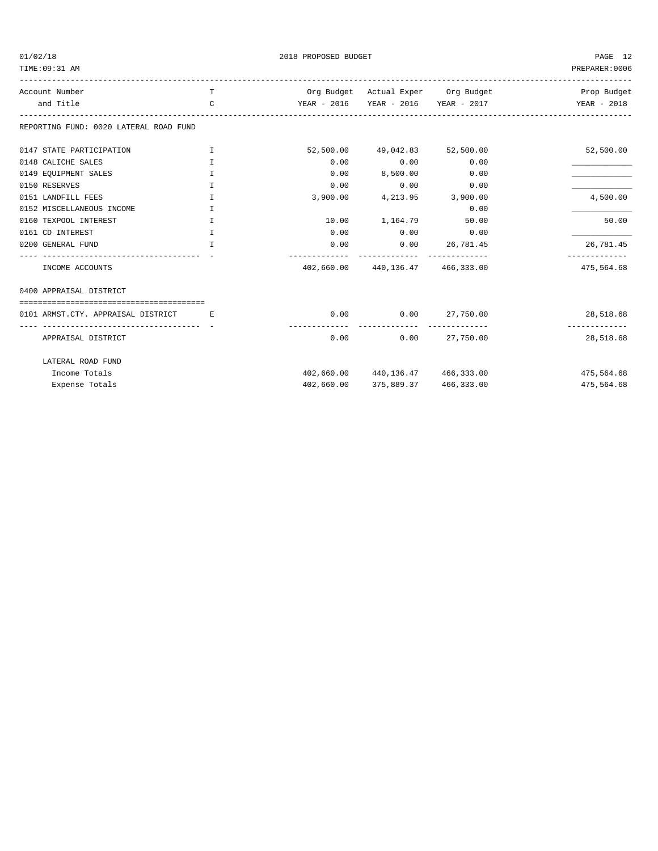|  | 01/02/18 |  |
|--|----------|--|
|  |          |  |

TIME:09:31 AM PREPARER:0006

2018 PROPOSED BUDGET AND STRUCK AND THE PAGE 12

| Account Number                         | T                |            |                                                                   | Org Budget Actual Exper Org Budget  | Prop Budget                |
|----------------------------------------|------------------|------------|-------------------------------------------------------------------|-------------------------------------|----------------------------|
| and Title                              | $\mathcal{C}$    |            |                                                                   | YEAR - 2016 YEAR - 2016 YEAR - 2017 | YEAR - 2018                |
| REPORTING FUND: 0020 LATERAL ROAD FUND |                  |            |                                                                   |                                     |                            |
| 0147 STATE PARTICIPATION               | I                |            | 52,500.00 49,042.83 52,500.00                                     |                                     | 52,500.00                  |
| 0148 CALICHE SALES                     | T.               | 0.00       | 0.00                                                              | 0.00                                |                            |
| 0149 EQUIPMENT SALES                   | $\mathbf I$      | 0.00       | 8,500.00                                                          | 0.00                                |                            |
| 0150 RESERVES                          | I.               | 0.00       | 0.00                                                              | 0.00                                |                            |
| 0151 LANDFILL FEES                     | T                |            | 3,900.00 4,213.95 3,900.00                                        |                                     | 4,500.00                   |
| 0152 MISCELLANEOUS INCOME              | T.               |            |                                                                   | 0.00                                |                            |
| 0160 TEXPOOL INTEREST                  | $\mathbf I$      |            | 10.00 1,164.79 50.00                                              |                                     | 50.00                      |
| 0161 CD INTEREST                       | I.               | 0.00       | $0.00$ 0.00                                                       |                                     |                            |
| 0200 GENERAL FUND                      | T                | 0.00       | $0.00$ 26,781.45                                                  |                                     | 26,781.45                  |
| INCOME ACCOUNTS                        |                  |            | -------------- --------------<br>402,660.00 440,136.47 466,333.00 |                                     | 475,564.68                 |
| 0400 APPRAISAL DISTRICT                |                  |            |                                                                   |                                     |                            |
|                                        |                  |            |                                                                   |                                     |                            |
| 0101 ARMST.CTY. APPRAISAL DISTRICT     | <b>Example 1</b> |            | $0.00$ $0.00$ $27,750.00$                                         |                                     | 28,518.68<br>------------- |
| APPRAISAL DISTRICT                     |                  | 0.00       |                                                                   | $0.00$ 27,750.00                    | 28,518.68                  |
| LATERAL ROAD FUND                      |                  |            |                                                                   |                                     |                            |
| Income Totals                          |                  |            |                                                                   | 402,660.00 440,136.47 466,333.00    | 475,564.68                 |
| Expense Totals                         |                  | 402,660.00 | 375,889.37                                                        | 466,333.00                          | 475,564.68                 |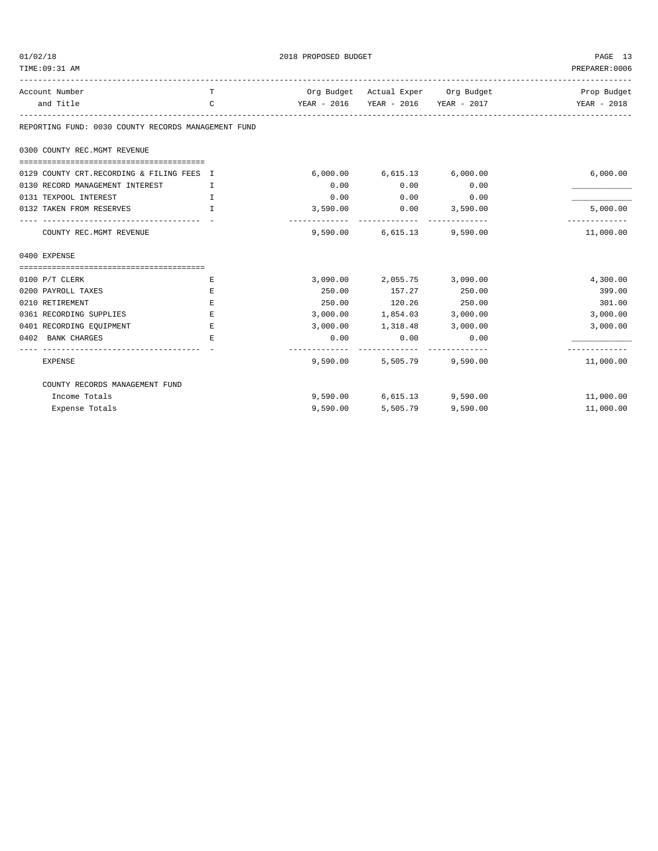| 01/02/18                                            |             | 2018 PROPOSED BUDGET | PAGE 13                    |                                     |                |
|-----------------------------------------------------|-------------|----------------------|----------------------------|-------------------------------------|----------------|
| TIME: 09:31 AM                                      |             |                      |                            |                                     | PREPARER: 0006 |
| Account Number                                      | T           |                      |                            | Org Budget Actual Exper Org Budget  | Prop Budget    |
| and Title                                           | C           |                      |                            | YEAR - 2016 YEAR - 2016 YEAR - 2017 | YEAR - 2018    |
| REPORTING FUND: 0030 COUNTY RECORDS MANAGEMENT FUND |             |                      |                            |                                     |                |
| 0300 COUNTY REC.MGMT REVENUE                        |             |                      |                            |                                     |                |
| 0129 COUNTY CRT.RECORDING & FILING FEES I           |             |                      | 6,000.00 6,615.13 6,000.00 |                                     | 6,000.00       |
| 0130 RECORD MANAGEMENT INTEREST                     | Ι.          | 0.00                 | 0.00                       | 0.00                                |                |
| 0131 TEXPOOL INTEREST                               | T.          | 0.00                 | 0.00                       | 0.00                                |                |
| 0132 TAKEN FROM RESERVES                            | $\mathbf I$ | 3,590.00             | 0.00                       | 3,590.00<br>-------------           | 5,000.00       |
| COUNTY REC. MGMT REVENUE                            |             |                      | 9,590.00 6,615.13 9,590.00 |                                     | 11,000.00      |
| 0400 EXPENSE                                        |             |                      |                            |                                     |                |
|                                                     |             |                      |                            |                                     |                |
| 0100 P/T CLERK                                      | Е           | 3,090.00             | 2,055.75 3,090.00          |                                     | 4,300.00       |
| 0200 PAYROLL TAXES                                  | Ε           | 250.00               | 157.27                     | 250.00                              | 399.00         |
| 0210 RETIREMENT                                     | E           | 250.00               | 120.26 250.00              |                                     | 301.00         |
| 0361 RECORDING SUPPLIES                             | E.          |                      | 3,000.00 1,854.03 3,000.00 |                                     | 3,000.00       |
| 0401 RECORDING EQUIPMENT                            | Е           | 3,000.00             |                            | 1,318.48 3,000.00                   | 3,000.00       |
| 0402 BANK CHARGES                                   | E           | 0.00                 | 0.00                       | 0.00                                | ----------     |
| <b>EXPENSE</b>                                      |             | 9,590.00             |                            | 5,505.79 9,590.00                   | 11,000.00      |
| COUNTY RECORDS MANAGEMENT FUND                      |             |                      |                            |                                     |                |
| Income Totals                                       |             |                      | 9,590.00 6,615.13 9,590.00 |                                     | 11,000.00      |
| Expense Totals                                      |             | 9,590.00             | 5,505.79                   | 9,590.00                            | 11,000.00      |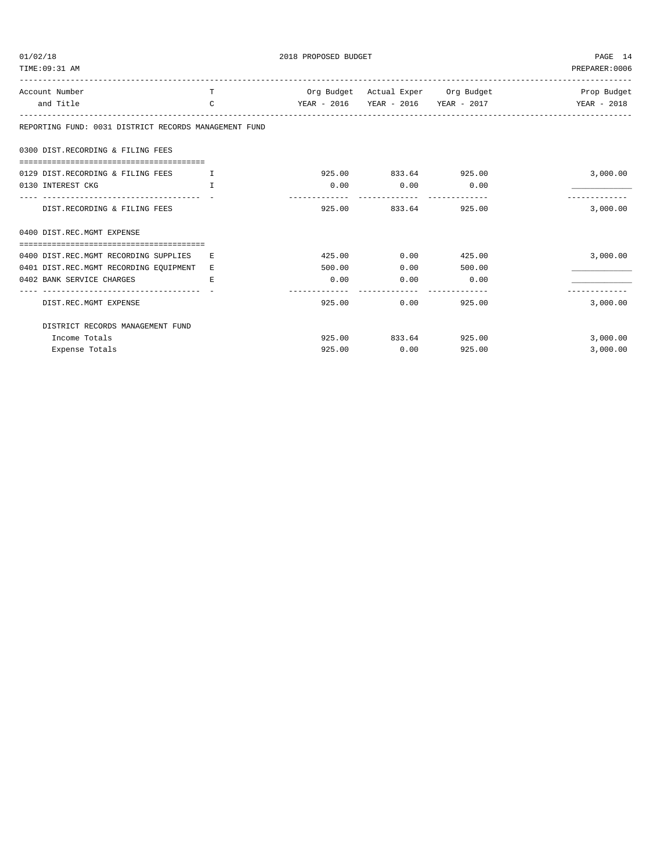| 01/02/18<br>TIME: 09:31 AM                            | PAGE 14<br>PREPARER: 0006 |                          |                      |                                     |             |
|-------------------------------------------------------|---------------------------|--------------------------|----------------------|-------------------------------------|-------------|
| Account Number                                        | T                         |                          |                      | Org Budget Actual Exper Org Budget  | Prop Budget |
| and Title                                             | $\mathcal{C}$             |                          |                      | YEAR - 2016 YEAR - 2016 YEAR - 2017 | YEAR - 2018 |
| REPORTING FUND: 0031 DISTRICT RECORDS MANAGEMENT FUND |                           |                          |                      |                                     |             |
| 0300 DIST.RECORDING & FILING FEES                     |                           |                          |                      |                                     |             |
| 0129 DIST.RECORDING & FILING FEES<br>$\mathbf{I}$     |                           |                          | 925.00 833.64 925.00 |                                     | 3,000.00    |
| 0130 INTEREST CKG                                     | T                         | 0.00                     | 0.00                 | 0.00                                |             |
| DIST.RECORDING & FILING FEES                          |                           |                          | 925.00 833.64 925.00 |                                     | 3,000.00    |
| 0400 DIST.REC.MGMT EXPENSE                            |                           |                          |                      |                                     |             |
| 0400 DIST.REC.MGMT RECORDING SUPPLIES                 | E.                        |                          | 425.00 0.00          | 425.00                              | 3,000.00    |
| 0401 DIST.REC.MGMT RECORDING EQUIPMENT                | E.                        | 500.00                   | 0.00                 | 500.00                              |             |
| 0402 BANK SERVICE CHARGES                             | E.                        | 0.00                     | 0.00                 | 0.00                                |             |
| DIST.REC.MGMT EXPENSE                                 |                           | --------------<br>925.00 | 0.00                 | 925.00                              | 3,000.00    |
| DISTRICT RECORDS MANAGEMENT FUND                      |                           |                          |                      |                                     |             |
| Income Totals                                         |                           |                          | 925.00 833.64 925.00 |                                     | 3,000.00    |
| Expense Totals                                        |                           | 925.00                   | 0.00                 | 925.00                              | 3,000.00    |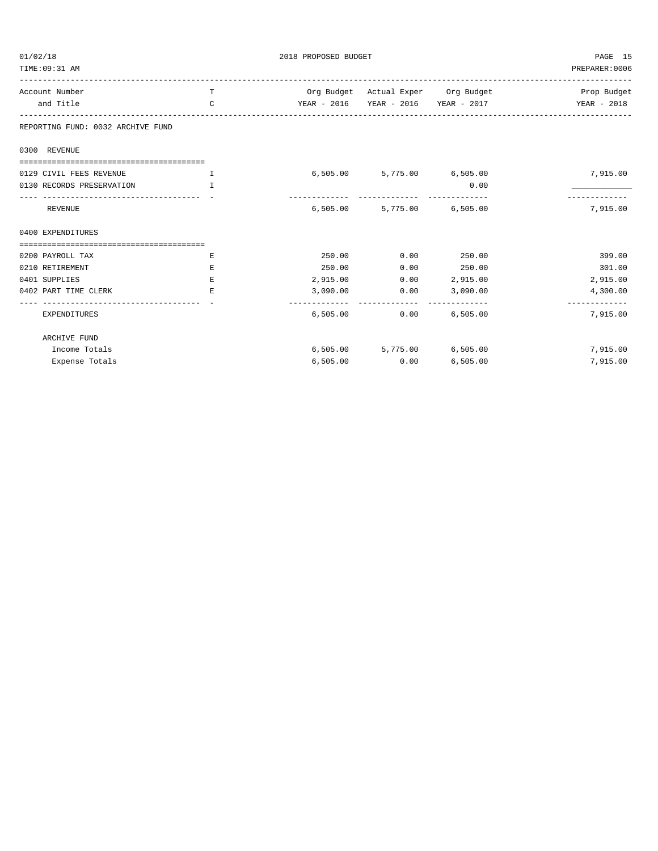| 01/02/18                                      |              | PAGE 15  |                            |                                     |                                                       |
|-----------------------------------------------|--------------|----------|----------------------------|-------------------------------------|-------------------------------------------------------|
| TIME: 09:31 AM                                |              |          |                            |                                     | PREPARER: 0006                                        |
| Account Number                                | T            |          |                            |                                     | Org Budget Actual Exper Org Budget 1999 - Prop Budget |
| and Title                                     | C            |          |                            | YEAR - 2016 YEAR - 2016 YEAR - 2017 | YEAR - 2018                                           |
| REPORTING FUND: 0032 ARCHIVE FUND             |              |          |                            |                                     |                                                       |
| 0300 REVENUE                                  |              |          |                            |                                     |                                                       |
|                                               |              |          |                            |                                     |                                                       |
| 0129 CIVIL FEES REVENUE                       | $\mathbf{I}$ |          | 6,505.00 5,775.00 6,505.00 |                                     | 7,915.00                                              |
| 0130 RECORDS PRESERVATION                     | T            |          |                            | 0.00                                |                                                       |
| ----------------------------------<br>REVENUE |              |          | 6,505.00 5,775.00 6,505.00 |                                     | 7,915.00                                              |
| 0400 EXPENDITURES                             |              |          |                            |                                     |                                                       |
| ======================================        |              |          |                            |                                     |                                                       |
| 0200 PAYROLL TAX                              | E.           | 250.00   | 0.00                       | 250.00                              | 399.00                                                |
| 0210 RETIREMENT                               | E.           | 250.00   | 0.00                       | 250.00                              | 301.00                                                |
| 0401 SUPPLIES                                 | Ε            | 2,915.00 | 0.00                       | 2,915.00                            | 2,915.00                                              |
| 0402 PART TIME CLERK                          | E.           | 3,090.00 | 0.00                       | 3,090.00                            | 4,300.00                                              |
| EXPENDITURES                                  |              | 6,505.00 | 0.00                       | -------------<br>6,505.00           | -------------<br>7,915.00                             |
| ARCHIVE FUND                                  |              |          |                            |                                     |                                                       |
| Income Totals                                 |              |          | 6,505.00 5,775.00 6,505.00 |                                     | 7,915.00                                              |
| Expense Totals                                |              | 6,505.00 | 0.00                       | 6,505.00                            | 7,915.00                                              |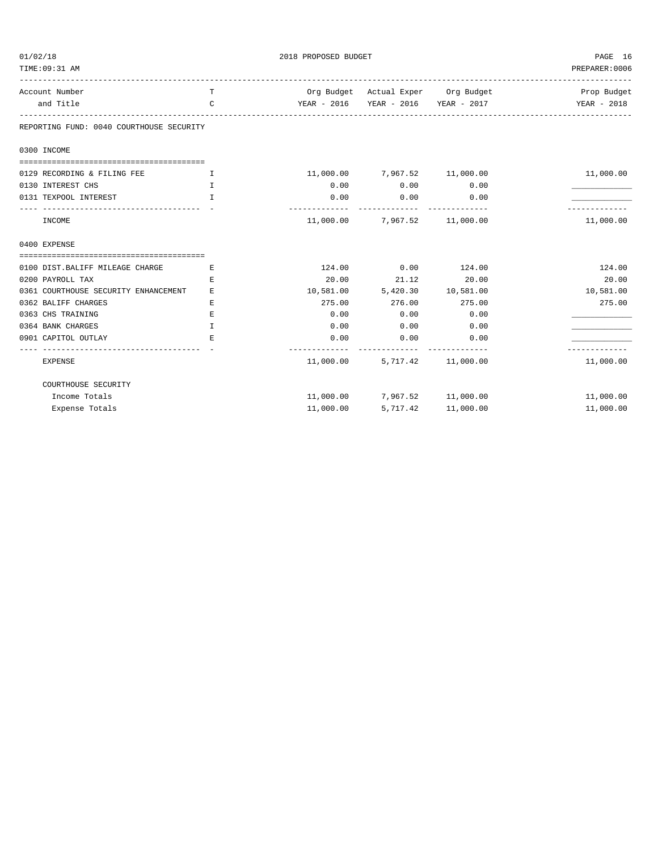| 01/02/18                                                                                                                                                                                                                                                                                                                        |              | 2018 PROPOSED BUDGET | PAGE 16<br>PREPARER: 0006    |                                     |             |
|---------------------------------------------------------------------------------------------------------------------------------------------------------------------------------------------------------------------------------------------------------------------------------------------------------------------------------|--------------|----------------------|------------------------------|-------------------------------------|-------------|
| TIME: 09:31 AM                                                                                                                                                                                                                                                                                                                  |              |                      |                              |                                     |             |
| Account Number                                                                                                                                                                                                                                                                                                                  | T            |                      |                              | Org Budget Actual Exper Org Budget  | Prop Budget |
| and Title                                                                                                                                                                                                                                                                                                                       | C            |                      |                              | YEAR - 2016 YEAR - 2016 YEAR - 2017 | YEAR - 2018 |
| REPORTING FUND: 0040 COURTHOUSE SECURITY                                                                                                                                                                                                                                                                                        |              |                      |                              |                                     |             |
| 0300 INCOME                                                                                                                                                                                                                                                                                                                     |              |                      |                              |                                     |             |
|                                                                                                                                                                                                                                                                                                                                 |              |                      |                              |                                     |             |
| 0129 RECORDING & FILING FEE<br>$\mathbf{I}$ and $\mathbf{I}$ and $\mathbf{I}$ and $\mathbf{I}$ and $\mathbf{I}$ and $\mathbf{I}$ and $\mathbf{I}$ and $\mathbf{I}$ and $\mathbf{I}$ and $\mathbf{I}$ and $\mathbf{I}$ and $\mathbf{I}$ and $\mathbf{I}$ and $\mathbf{I}$ and $\mathbf{I}$ and $\mathbf{I}$ and $\mathbf{I}$ and |              |                      | 11,000.00 7,967.52 11,000.00 |                                     | 11,000.00   |
| 0130 INTEREST CHS                                                                                                                                                                                                                                                                                                               | $\mathbb{T}$ | 0.00                 | 0.00                         | 0.00                                |             |
| 0131 TEXPOOL INTEREST                                                                                                                                                                                                                                                                                                           | $\mathbf{I}$ | 0.00                 | 0.00                         | 0.00                                |             |
| INCOME                                                                                                                                                                                                                                                                                                                          |              |                      | 11,000.00 7,967.52 11,000.00 |                                     | 11,000.00   |
| 0400 EXPENSE                                                                                                                                                                                                                                                                                                                    |              |                      |                              |                                     |             |
|                                                                                                                                                                                                                                                                                                                                 |              |                      |                              |                                     |             |
| 0100 DIST.BALIFF MILEAGE CHARGE                                                                                                                                                                                                                                                                                                 | Е            |                      | 124.00   0.00   124.00       |                                     | 124.00      |
| 0200 PAYROLL TAX                                                                                                                                                                                                                                                                                                                | E.           | 20.00                | 21.12                        | 20.00                               | 20.00       |
| 0361 COURTHOUSE SECURITY ENHANCEMENT                                                                                                                                                                                                                                                                                            | E            |                      | 10,581.00 5,420.30 10,581.00 |                                     | 10,581.00   |
| 0362 BALIFF CHARGES                                                                                                                                                                                                                                                                                                             | E.           | 275.00               | 276.00                       | 275.00                              | 275.00      |
| 0363 CHS TRAINING                                                                                                                                                                                                                                                                                                               | E.           | 0.00                 | 0.00                         | 0.00                                |             |
| 0364 BANK CHARGES                                                                                                                                                                                                                                                                                                               | $\mathbf I$  | 0.00                 | 0.00                         | 0.00                                |             |
| 0901 CAPITOL OUTLAY                                                                                                                                                                                                                                                                                                             | E.           | 0.00<br>. <u>.</u> . | 0.00                         | 0.00                                |             |
| <b>EXPENSE</b>                                                                                                                                                                                                                                                                                                                  |              |                      | 11,000.00 5,717.42 11,000.00 |                                     | 11,000.00   |
| COURTHOUSE SECURITY                                                                                                                                                                                                                                                                                                             |              |                      |                              |                                     |             |
| Income Totals                                                                                                                                                                                                                                                                                                                   |              |                      | 11,000.00 7,967.52 11,000.00 |                                     | 11,000.00   |
| Expense Totals                                                                                                                                                                                                                                                                                                                  |              | 11,000.00            | 5,717.42                     | 11,000.00                           | 11,000.00   |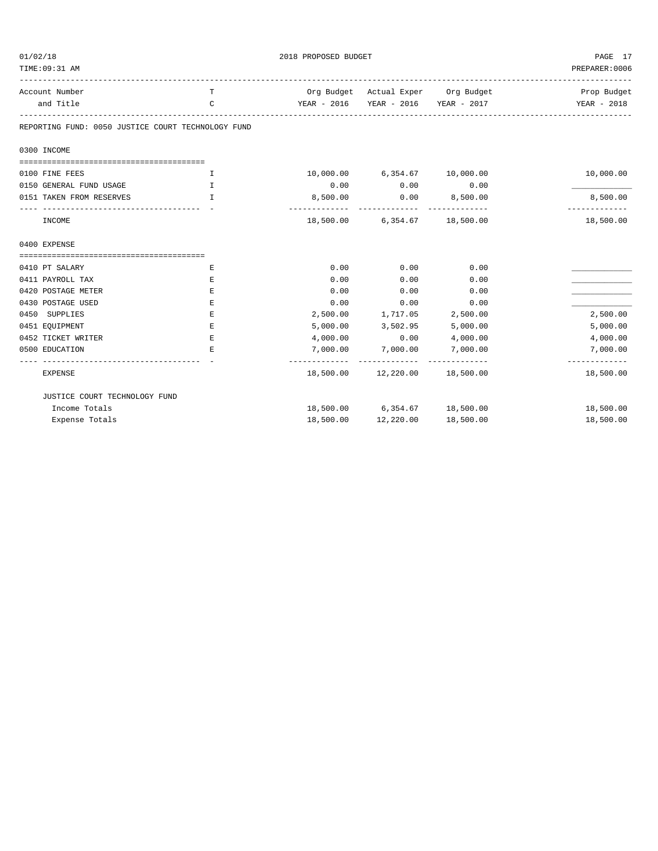| 01/02/18                                           |              | 2018 PROPOSED BUDGET   | PAGE 17                                                         |                                     |                              |
|----------------------------------------------------|--------------|------------------------|-----------------------------------------------------------------|-------------------------------------|------------------------------|
| TIME: 09:31 AM                                     |              |                        |                                                                 |                                     | PREPARER: 0006               |
| Account Number                                     | т            |                        |                                                                 | Org Budget Actual Exper Org Budget  | -------------<br>Prop Budget |
| and Title                                          | C            |                        |                                                                 | YEAR - 2016 YEAR - 2016 YEAR - 2017 | YEAR - 2018                  |
| REPORTING FUND: 0050 JUSTICE COURT TECHNOLOGY FUND |              |                        |                                                                 |                                     |                              |
| 0300 INCOME                                        |              |                        |                                                                 |                                     |                              |
|                                                    |              |                        |                                                                 |                                     |                              |
| 0100 FINE FEES                                     | T            |                        | 10,000.00 6,354.67 10,000.00                                    |                                     | 10,000.00                    |
| 0150 GENERAL FUND USAGE                            | I            | 0.00                   | 0.00                                                            | 0.00                                |                              |
| 0151 TAKEN FROM RESERVES                           | $\mathbb{T}$ | 8,500.00               | 0.00                                                            | 8,500.00                            | 8,500.00                     |
| INCOME                                             |              | -------------          | -------------------------------<br>18,500.00 6,354.67 18,500.00 |                                     | -------------<br>18,500.00   |
| 0400 EXPENSE                                       |              |                        |                                                                 |                                     |                              |
|                                                    |              |                        |                                                                 |                                     |                              |
| 0410 PT SALARY                                     | Ε            | 0.00                   | 0.00                                                            | 0.00                                |                              |
| 0411 PAYROLL TAX                                   | Ε            | 0.00                   | 0.00                                                            | 0.00                                |                              |
| 0420 POSTAGE METER                                 | Ε            | 0.00                   | 0.00                                                            | 0.00                                |                              |
| 0430 POSTAGE USED                                  | Ε            | 0.00                   | 0.00                                                            | 0.00                                |                              |
| 0450 SUPPLIES                                      | Ε            | 2,500.00               | 1,717.05                                                        | 2,500.00                            | 2,500.00                     |
| 0451 EQUIPMENT                                     | Ε            | 5,000.00               | 3,502.95                                                        | 5,000.00                            | 5,000.00                     |
| 0452 TICKET WRITER                                 | Ε            | 4,000.00               | 0.00                                                            | 4,000.00                            | 4,000.00                     |
| 0500 EDUCATION                                     | Ε            | 7,000.00<br>---------- | 7,000.00                                                        | 7,000.00                            | 7,000.00<br>-----------      |
| <b>EXPENSE</b>                                     |              |                        | 18,500.00  12,220.00  18,500.00                                 |                                     | 18,500.00                    |
| JUSTICE COURT TECHNOLOGY FUND                      |              |                        |                                                                 |                                     |                              |
| Income Totals                                      |              |                        | 18,500.00 6,354.67 18,500.00                                    |                                     | 18,500.00                    |
| Expense Totals                                     |              | 18,500.00              | 12,220.00                                                       | 18,500.00                           | 18,500.00                    |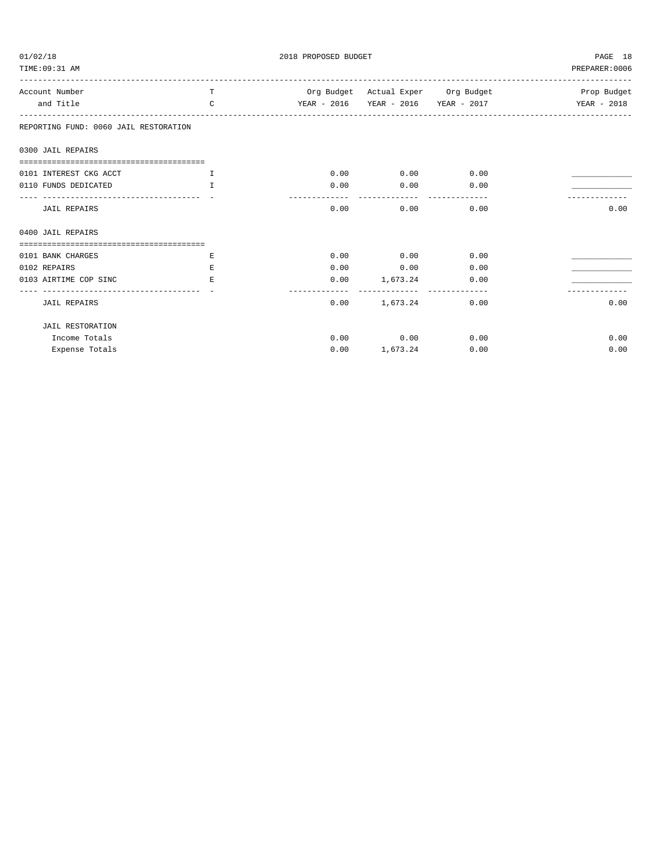| 01/02/18                              |               | 2018 PROPOSED BUDGET                            |                             |                                 |                |  |
|---------------------------------------|---------------|-------------------------------------------------|-----------------------------|---------------------------------|----------------|--|
| TIME: 09:31 AM                        |               |                                                 |                             | ------------------------------- | PREPARER: 0006 |  |
| Account Number                        | T.            | Org Budget Actual Exper Org Budget              |                             |                                 | Prop Budget    |  |
| and Title                             | $\mathcal{C}$ | YEAR - 2016 YEAR - 2016 YEAR - 2017 YEAR - 2018 |                             |                                 |                |  |
| REPORTING FUND: 0060 JAIL RESTORATION |               |                                                 |                             |                                 |                |  |
| 0300 JAIL REPAIRS                     |               |                                                 |                             |                                 |                |  |
|                                       |               |                                                 |                             |                                 |                |  |
| 0101 INTEREST CKG ACCT                | I             |                                                 | $0.00$ $0.00$ $0.00$ $0.00$ |                                 |                |  |
| 0110 FUNDS DEDICATED                  | T             | 0.00                                            | $0.00$ 0.00                 |                                 |                |  |
|                                       |               | ----------                                      | ------------                |                                 |                |  |
| JAIL REPAIRS                          |               | 0.00                                            | 0.00                        | 0.00                            | 0.00           |  |
| 0400 JAIL REPAIRS                     |               |                                                 |                             |                                 |                |  |
|                                       |               |                                                 |                             |                                 |                |  |
| 0101 BANK CHARGES                     | Е             |                                                 | $0.00$ $0.00$ $0.00$ $0.00$ |                                 |                |  |
| 0102 REPAIRS                          | E.            | 0.00                                            | $0.00$ 0.00                 |                                 |                |  |
| 0103 AIRTIME COP SINC                 | E.            |                                                 | $0.00$ 1,673.24 0.00        |                                 |                |  |
| <b>JAIL REPAIRS</b>                   |               | -----------<br>0.00                             |                             | 1,673.24 0.00                   | 0.00           |  |
| <b>JAIL RESTORATION</b>               |               |                                                 |                             |                                 |                |  |
| Income Totals                         |               |                                                 | $0.00$ $0.00$ $0.00$ $0.00$ |                                 | 0.00           |  |
| Expense Totals                        |               | 0.00                                            | 1,673.24                    | 0.00                            | 0.00           |  |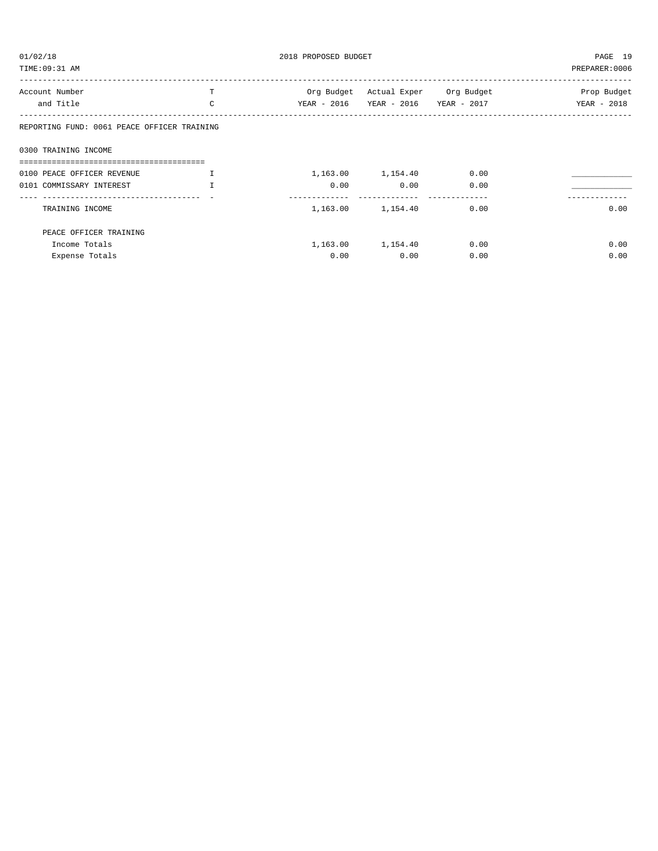| 01/02/18                                    | 2018 PROPOSED BUDGET | PAGE 19     |                                    |      |                |
|---------------------------------------------|----------------------|-------------|------------------------------------|------|----------------|
| TIME: 09:31 AM                              |                      |             |                                    |      | PREPARER: 0006 |
| Account Number                              | т                    |             | Org Budget Actual Exper Org Budget |      | Prop Budget    |
| and Title                                   | C                    | YEAR - 2016 | YEAR - 2016 YEAR - 2017            |      | YEAR - 2018    |
| REPORTING FUND: 0061 PEACE OFFICER TRAINING |                      |             |                                    |      |                |
| 0300 TRAINING INCOME                        |                      |             |                                    |      |                |
|                                             |                      |             |                                    |      |                |
| 0100 PEACE OFFICER REVENUE                  |                      |             | 1,163.00 1,154.40 0.00             |      |                |
| 0101 COMMISSARY INTEREST                    | T                    | 0.00        | 0.00                               | 0.00 |                |
| TRAINING INCOME                             |                      |             | 1, 163.00 1, 154.40                | 0.00 | 0.00           |
| PEACE OFFICER TRAINING                      |                      |             |                                    |      |                |
| Income Totals                               |                      |             | 1, 163.00 1, 154.40                | 0.00 | 0.00           |
| Expense Totals                              |                      | 0.00        | 0.00                               | 0.00 | 0.00           |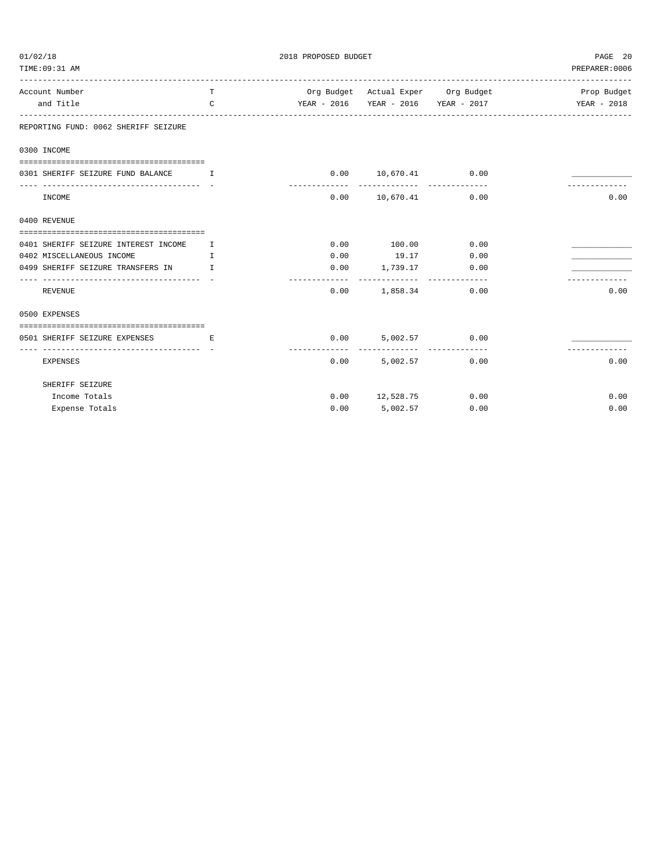| 01/02/18                                                                   |              | 2018 PROPOSED BUDGET   | PAGE 20                                                 |                                     |                |
|----------------------------------------------------------------------------|--------------|------------------------|---------------------------------------------------------|-------------------------------------|----------------|
| TIME: 09:31 AM<br>----------------------------                             |              |                        |                                                         |                                     | PREPARER: 0006 |
| Account Number                                                             | T.           |                        |                                                         | Org Budget Actual Exper Org Budget  | Prop Budget    |
| and Title                                                                  | $\mathsf{C}$ |                        |                                                         | YEAR - 2016 YEAR - 2016 YEAR - 2017 | YEAR - 2018    |
| REPORTING FUND: 0062 SHERIFF SEIZURE                                       |              |                        |                                                         |                                     |                |
| 0300 INCOME                                                                |              |                        |                                                         |                                     |                |
|                                                                            |              |                        |                                                         |                                     |                |
| 0301 SHERIFF SEIZURE FUND BALANCE<br>----------------------------------- - | $\mathbf{I}$ |                        | $0.00$ 10,670.41 0.00                                   |                                     |                |
| INCOME                                                                     |              | 0.00                   |                                                         | 10,670.41 0.00                      | 0.00           |
| 0400 REVENUE                                                               |              |                        |                                                         |                                     |                |
| 0401 SHERIFF SEIZURE INTEREST INCOME                                       | $\mathbf{I}$ | 0.00                   | 100.00                                                  | 0.00                                |                |
| 0402 MISCELLANEOUS INCOME                                                  | I            |                        | $0.00$ 19.17 $0.00$                                     |                                     |                |
| 0499 SHERIFF SEIZURE TRANSFERS IN I                                        |              |                        | $0.00$ 1,739.17 0.00                                    |                                     |                |
| REVENUE                                                                    |              | --------------<br>0.00 | -----------------------------<br>1,858.34               | 0.00                                | 0.00           |
| 0500 EXPENSES                                                              |              |                        |                                                         |                                     |                |
|                                                                            |              |                        |                                                         |                                     |                |
| 0501 SHERIFF SEIZURE EXPENSES                                              | E.           | -----------            | $0.00$ 5,002.57 0.00<br>------------------------------- |                                     |                |
| <b>EXPENSES</b>                                                            |              | 0.00                   | 5,002.57                                                | 0.00                                | 0.00           |
| SHERIFF SEIZURE                                                            |              |                        |                                                         |                                     |                |
| Income Totals                                                              |              |                        | $0.00$ 12,528.75                                        | 0.00                                | 0.00           |
| Expense Totals                                                             |              | 0.00                   | 5,002.57                                                | 0.00                                | 0.00           |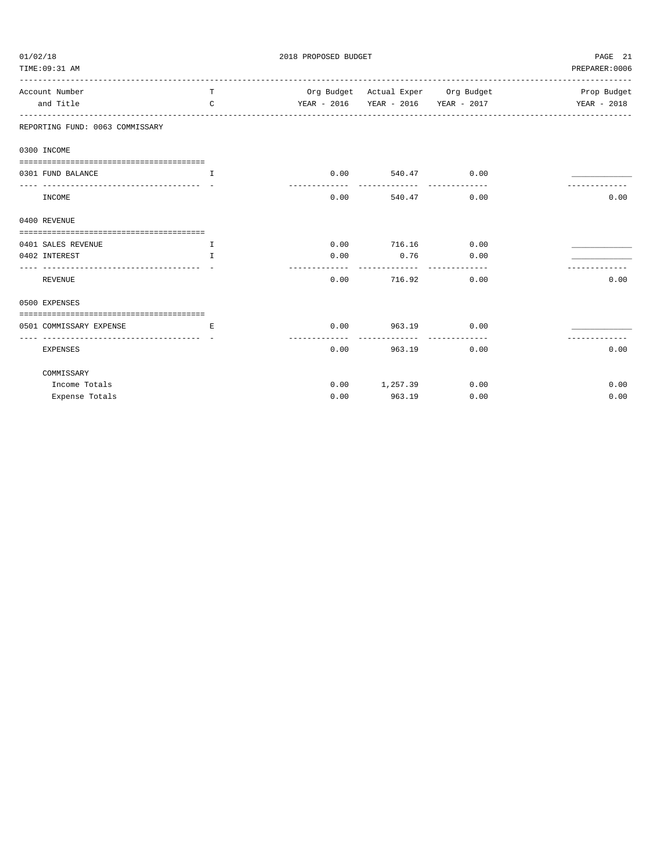| 01/02/18                                          |                                        | PAGE 21                            |                        |                                     |                |
|---------------------------------------------------|----------------------------------------|------------------------------------|------------------------|-------------------------------------|----------------|
| TIME: 09:31 AM                                    |                                        |                                    |                        |                                     | PREPARER: 0006 |
| Account Number                                    | T                                      | Org Budget Actual Exper Org Budget |                        |                                     | Prop Budget    |
| and Title                                         | $\mathcal{C}$                          |                                    |                        | YEAR - 2016 YEAR - 2016 YEAR - 2017 | YEAR - 2018    |
| REPORTING FUND: 0063 COMMISSARY                   |                                        |                                    |                        |                                     |                |
| 0300 INCOME                                       |                                        |                                    |                        |                                     |                |
|                                                   |                                        |                                    |                        |                                     |                |
| 0301 FUND BALANCE                                 | $\mathbf{I}$                           |                                    | $0.00$ 540.47 0.00     |                                     |                |
| INCOME                                            |                                        |                                    | $0.00$ 540.47 0.00     |                                     | 0.00           |
| 0400 REVENUE                                      |                                        |                                    |                        |                                     |                |
|                                                   |                                        |                                    |                        |                                     |                |
| 0401 SALES REVENUE                                | $\top$                                 |                                    | $0.00$ $716.16$ $0.00$ |                                     |                |
| 0402 INTEREST                                     | $\mathbf{T}$                           | 0.00                               | $0.76$ 0.00            |                                     |                |
| <b>REVENUE</b>                                    |                                        |                                    | $0.00$ $716.92$        | 0.00                                | 0.00           |
| 0500 EXPENSES                                     |                                        |                                    |                        |                                     |                |
| 0501 COMMISSARY EXPENSE                           | and the control of the state of the Ri |                                    | $0.00$ 963.19 0.00     |                                     |                |
| ---------------------------- -<br><b>EXPENSES</b> |                                        |                                    | $0.00$ 963.19          | 0.00                                | 0.00           |
| COMMISSARY                                        |                                        |                                    |                        |                                     |                |
| Income Totals                                     |                                        | 0.00                               | 1,257.39 0.00          |                                     | 0.00           |
| Expense Totals                                    |                                        | 0.00                               | 963.19                 | 0.00                                | 0.00           |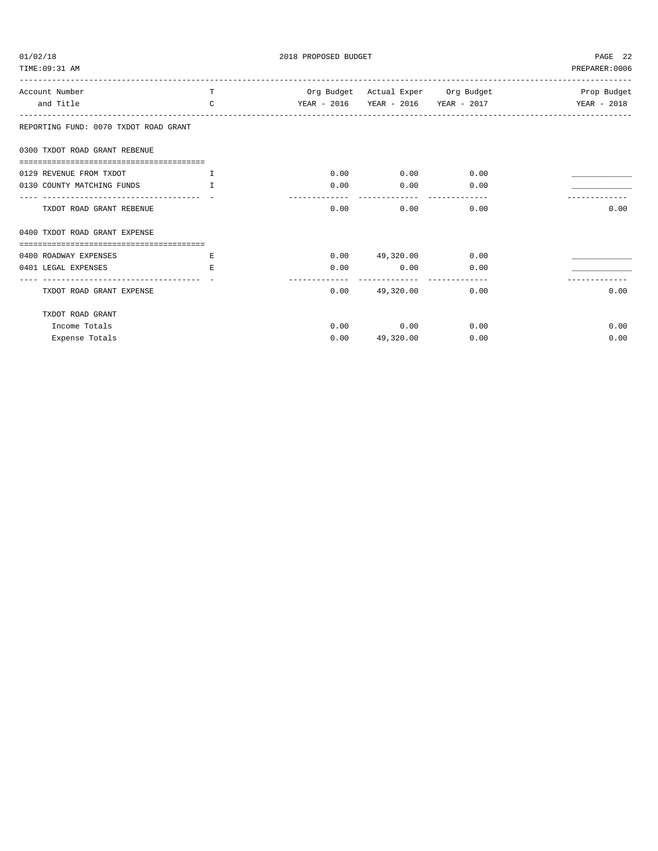| 01/02/18                                                 |               | 2018 PROPOSED BUDGET | PAGE 22               |      |                                                     |
|----------------------------------------------------------|---------------|----------------------|-----------------------|------|-----------------------------------------------------|
| TIME: 09:31 AM                                           |               |                      |                       |      | PREPARER: 0006                                      |
| Account Number                                           | T             |                      |                       |      | Org Budget Actual Exper Org Budget The Strop Budget |
| and Title                                                | $\mathcal{C}$ |                      |                       |      |                                                     |
| REPORTING FUND: 0070 TXDOT ROAD GRANT                    |               |                      |                       |      |                                                     |
| 0300 TXDOT ROAD GRANT REBENUE                            |               |                      |                       |      |                                                     |
| ======================================                   |               |                      |                       |      |                                                     |
| 0129 REVENUE FROM TXDOT                                  |               | 0.00                 | 0.00                  | 0.00 |                                                     |
| 0130 COUNTY MATCHING FUNDS                               | $\mathsf{T}$  | 0.00                 | 0.00                  | 0.00 |                                                     |
| TXDOT ROAD GRANT REBENUE                                 |               | 0.00                 | 0.00                  | 0.00 | 0.00                                                |
| 0400 TXDOT ROAD GRANT EXPENSE                            |               |                      |                       |      |                                                     |
|                                                          |               |                      |                       |      |                                                     |
| 0400 ROADWAY EXPENSES                                    | E.            |                      | $0.00$ 49,320.00 0.00 |      |                                                     |
| 0401 LEGAL EXPENSES<br>------------------------------- - | E.            | 0.00                 | 0.00                  | 0.00 |                                                     |
| TXDOT ROAD GRANT EXPENSE                                 |               |                      | 0.00 49,320.00        | 0.00 | 0.00                                                |
| TXDOT ROAD GRANT                                         |               |                      |                       |      |                                                     |
| Income Totals                                            |               |                      | $0.00$ 0.00           | 0.00 | 0.00                                                |
| Expense Totals                                           |               | 0.00                 | 49,320.00             | 0.00 | 0.00                                                |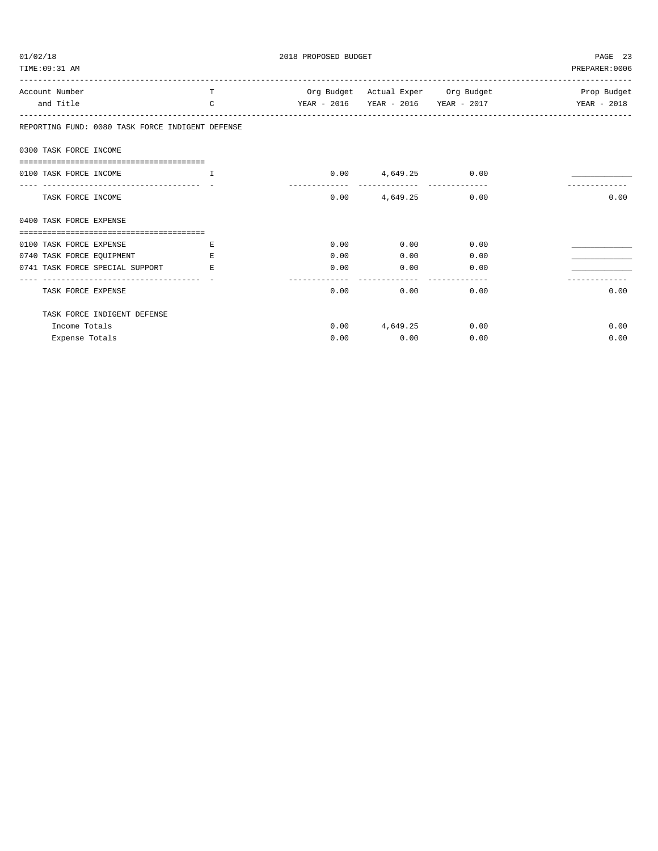| 01/02/18                                                        |               | PAGE 23 |                      |                                     |                                                       |
|-----------------------------------------------------------------|---------------|---------|----------------------|-------------------------------------|-------------------------------------------------------|
| TIME: 09:31 AM                                                  |               |         |                      |                                     | PREPARER: 0006                                        |
| Account Number                                                  | T             |         |                      |                                     | Org Budget Actual Exper Org Budget Norman Prop Budget |
| and Title                                                       | $\mathcal{C}$ |         |                      | YEAR - 2016 YEAR - 2016 YEAR - 2017 | YEAR - 2018                                           |
| REPORTING FUND: 0080 TASK FORCE INDIGENT DEFENSE                |               |         |                      |                                     |                                                       |
| 0300 TASK FORCE INCOME                                          |               |         |                      |                                     |                                                       |
| =====================================                           |               |         |                      |                                     |                                                       |
| 0100 TASK FORCE INCOME<br><b>The Community of The Theory II</b> |               |         | $0.00$ 4,649.25 0.00 |                                     |                                                       |
| TASK FORCE INCOME                                               |               |         | $0.00$ 4,649.25 0.00 |                                     | 0.00                                                  |
| 0400 TASK FORCE EXPENSE                                         |               |         |                      |                                     |                                                       |
| ===================================                             |               |         |                      |                                     |                                                       |
| 0100 TASK FORCE EXPENSE                                         | E.            | 0.00    | $0.00$ 0.00          |                                     |                                                       |
| 0740 TASK FORCE EQUIPMENT                                       | E.            | 0.00    | 0.00                 | 0.00                                |                                                       |
| 0741 TASK FORCE SPECIAL SUPPORT                                 | E.            | 0.00    | $0.00$ 0.00          |                                     |                                                       |
| TASK FORCE EXPENSE                                              |               | 0.00    | 0.00                 | 0.00                                | 0.00                                                  |
| TASK FORCE INDIGENT DEFENSE                                     |               |         |                      |                                     |                                                       |
| Income Totals                                                   |               |         | $0.00$ 4,649.25 0.00 |                                     | 0.00                                                  |
| Expense Totals                                                  |               | 0.00    | 0.00                 | 0.00                                | 0.00                                                  |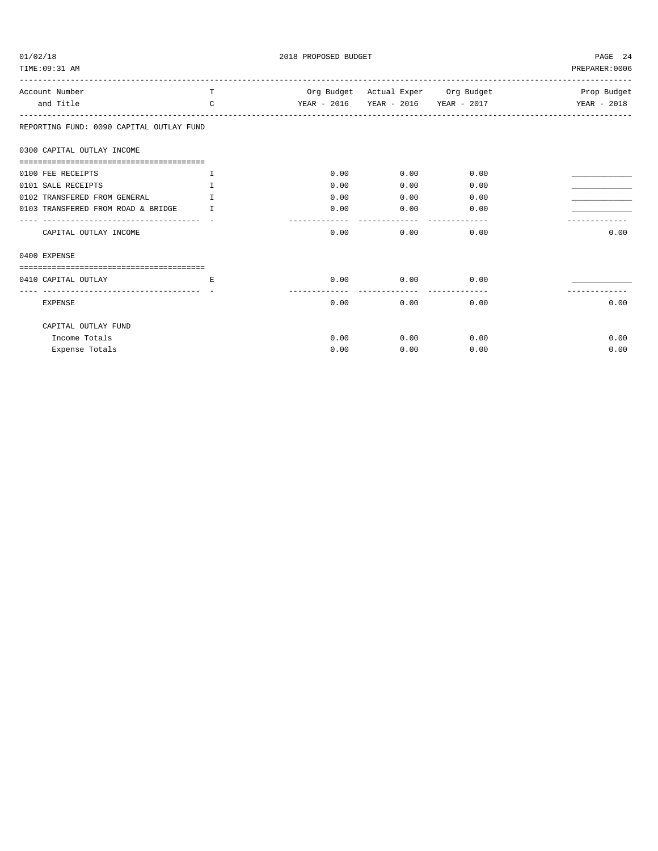| 01/02/18<br>TIME: 09:31 AM                                                | 2018 PROPOSED BUDGET | PAGE 24<br>PREPARER: 0006 |                        |                                     |             |
|---------------------------------------------------------------------------|----------------------|---------------------------|------------------------|-------------------------------------|-------------|
| Account Number                                                            | T.                   |                           |                        | Org Budget Actual Exper Org Budget  | Prop Budget |
| and Title                                                                 | $\mathcal{C}$        |                           |                        | YEAR - 2016 YEAR - 2016 YEAR - 2017 | YEAR - 2018 |
| REPORTING FUND: 0090 CAPITAL OUTLAY FUND                                  |                      |                           |                        |                                     |             |
| 0300 CAPITAL OUTLAY INCOME                                                |                      |                           |                        |                                     |             |
| 0100 FEE RECEIPTS                                                         | $\mathbb{T}$         | 0.00                      | 0.00                   | 0.00                                |             |
| 0101 SALE RECEIPTS                                                        | $\mathbb{T}$         | 0.00                      | 0.00                   | 0.00                                |             |
| 0102 TRANSFERED FROM GENERAL                                              | $\mathbf{T}$         | 0.00                      | 0.00                   | 0.00                                |             |
| 0103 TRANSFERED FROM ROAD & BRIDGE<br>----------------------------------- | T                    | 0.00<br>$- - - - -$       | 0.00<br>-----          | 0.00                                |             |
| CAPITAL OUTLAY INCOME                                                     |                      | 0.00                      | 0.00                   | 0.00                                | 0.00        |
| 0400 EXPENSE                                                              |                      |                           |                        |                                     |             |
|                                                                           |                      |                           |                        |                                     |             |
| 0410 CAPITAL OUTLAY                                                       | E.                   | 0.00                      | 0.00<br>-------------- | 0.00                                |             |
| <b>EXPENSE</b>                                                            |                      | 0.00                      | 0.00                   | 0.00                                | 0.00        |
| CAPITAL OUTLAY FUND                                                       |                      |                           |                        |                                     |             |
| Income Totals                                                             |                      | 0.00                      | 0.00                   | 0.00                                | 0.00        |
| Expense Totals                                                            |                      | 0.00                      | 0.00                   | 0.00                                | 0.00        |